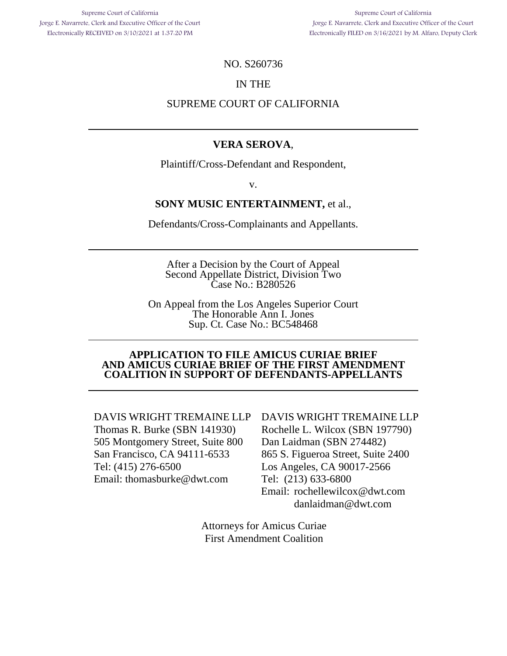#### NO. S260736

#### IN THE

# NO. S260736<br>IN THE<br>SUPREME COURT OF CALIFORNIA

#### VERA SEROVA,

Plaintiff/Cross-Defendant and Respondent, **VERA SEROVA,**<br>Plaintiff/Cross-Defendant and Respondent,<br>v.

v.

#### SONY MUSIC ENTERTAINMENT, et al.,

Defendants/Cross-Complainants and Appellants. **SONY MUSIC ENTERTAINMENT,** et al.,<br>Defendants/Cross-Complainants and Appellants.<br>After a Decision by the Court of Appeal

After a Decision by the Court of Appeal Second Appellate District, Division Two Second Appellate District, Division Two Case No.: B280526

On Appeal from the Los Angeles Superior Court The Honorable Ann I. Jones Sup. Ct. Case No.: BC548468 Case No.: B280526<br>
On Appeal from the Los Angeles Superior Court<br>
The Honorable Ann I. Jones<br>
Sup. Ct. Case No.: BC548468

#### APPLICATION TO FILE AMICUS CURIAE BRIEF AND AMICUS CURIAE BRIEF OF THE FIRST AMENDMENT **APPLICATION TO FILE AMICUS CURIAE BRIEF AND AMICUS CURIAE BRIEF OF THE FIRST AMENDMENT**  COALITION IN SUPPORT OF DEFENDANTS-APPELLANTS **COALITION IN SUPPORT OF DEFENDANTS-APPELLANTS**

DAVIS WRIGHT TREMAINE LLP DAVIS WRIGHT TREMAINE LLP Thomas R. Burke (SBN 141930) 505 Montgomery Street, Suite 800 San Francisco, CA 94111-6533 Tel: (415) 276-6500 Email: thomasburke@dwt.com Thomas R. Burke (SBN 141930) 505 Montgomery Street, Suite 800 San Francisco, CA 94111-6533 DAVIS WRIGHT TREMAINE LLP DAVIS WRIGHT TREMAINE LLP<br>
Thomas R. Burke (SBN 141930) Rochelle L. Wilcox (SBN 197790)<br>
505 Montgomery Street, Suite 800 Dan Laidman (SBN 274482)<br>
San Francisco, CA 94111-6533 865 S. Figueroa Str

DAVIS WRIGHT TREMAINE LLP Rochelle L. Wilcox (SBN 197790) Dan Laidman (SBN 274482) 865 S. Figueroa Street, Suite 2400 Los Angeles, CA 90017-2566 Tel: (213) 633-6800 Email: rochellewilcox@dwt.com Email: rochellewilcox@dwt.com danlaidman@dwt.com danlaidman@dwt.com

Attorneys for Amicus Curiae Attorneys for Amicus Curiae First Amendment Coalition Amendment Coalition First Amendment Coalition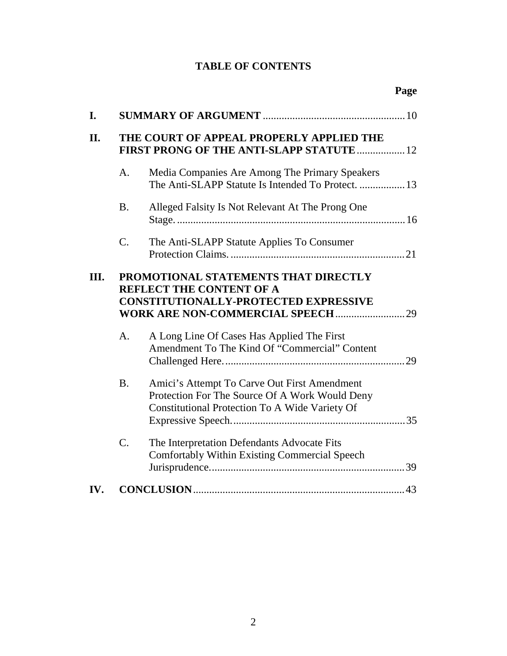#### TABLE OF CONTENTS **TABLE OF CONTENTS**

| I.   |                                                                                                                         |                                                                                                                                                  |  |
|------|-------------------------------------------------------------------------------------------------------------------------|--------------------------------------------------------------------------------------------------------------------------------------------------|--|
| II.  | THE COURT OF APPEAL PROPERLY APPLIED THE<br>FIRST PRONG OF THE ANTI-SLAPP STATUTE  12                                   |                                                                                                                                                  |  |
|      | A.                                                                                                                      | Media Companies Are Among The Primary Speakers<br>The Anti-SLAPP Statute Is Intended To Protect.  13                                             |  |
|      | <b>B.</b>                                                                                                               | Alleged Falsity Is Not Relevant At The Prong One                                                                                                 |  |
|      | C.                                                                                                                      | The Anti-SLAPP Statute Applies To Consumer                                                                                                       |  |
| III. | PROMOTIONAL STATEMENTS THAT DIRECTLY<br><b>REFLECT THE CONTENT OF A</b><br><b>CONSTITUTIONALLY-PROTECTED EXPRESSIVE</b> |                                                                                                                                                  |  |
|      | A.                                                                                                                      | A Long Line Of Cases Has Applied The First<br>Amendment To The Kind Of "Commercial" Content                                                      |  |
|      | <b>B.</b>                                                                                                               | Amici's Attempt To Carve Out First Amendment<br>Protection For The Source Of A Work Would Deny<br>Constitutional Protection To A Wide Variety Of |  |
|      | C.                                                                                                                      | The Interpretation Defendants Advocate Fits<br>Comfortably Within Existing Commercial Speech                                                     |  |
| IV.  |                                                                                                                         |                                                                                                                                                  |  |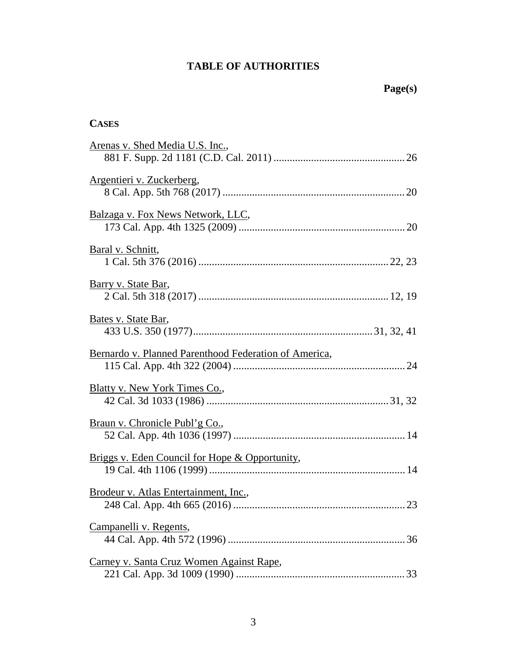## TABLE OF AUTHORITIES<br>
Page(s)

| <b>CASES</b>                                          |
|-------------------------------------------------------|
| Arenas v. Shed Media U.S. Inc.,                       |
| Argentieri v. Zuckerberg,                             |
| Balzaga v. Fox News Network, LLC,                     |
| Baral v. Schnitt,                                     |
| Barry v. State Bar,                                   |
| Bates v. State Bar,                                   |
| Bernardo v. Planned Parenthood Federation of America, |
| <b>Blatty v. New York Times Co.,</b>                  |
| <u>Braun v. Chronicle Publ'g Co.</u> ,                |
| Briggs v. Eden Council for Hope & Opportunity,        |
| Brodeur v. Atlas Entertainment, Inc.,                 |
| Campanelli v. Regents,                                |
| Carney v. Santa Cruz Women Against Rape,              |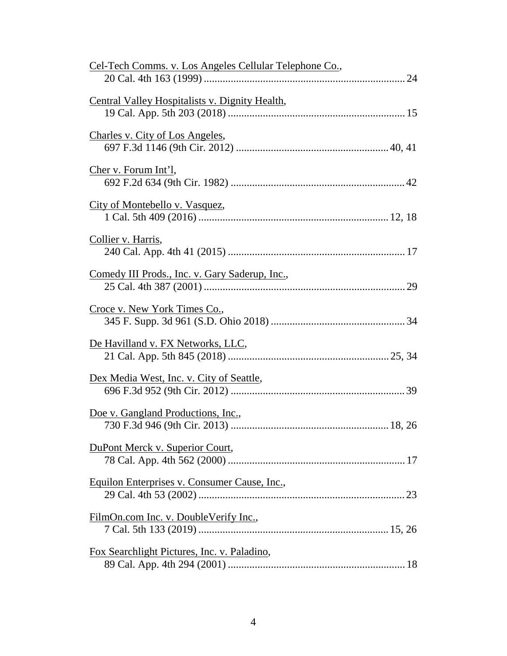| Cel-Tech Comms. v. Los Angeles Cellular Telephone Co., |
|--------------------------------------------------------|
| Central Valley Hospitalists v. Dignity Health,         |
| Charles v. City of Los Angeles,                        |
| Cher v. Forum Int'l,                                   |
| City of Montebello v. Vasquez,                         |
| Collier v. Harris,                                     |
| Comedy III Prods., Inc. v. Gary Saderup, Inc.,         |
| Croce v. New York Times Co.,                           |
| De Havilland v. FX Networks, LLC,                      |
| Dex Media West, Inc. v. City of Seattle,               |
| Doe v. Gangland Productions, Inc.,                     |
| DuPont Merck v. Superior Court,                        |
| Equilon Enterprises v. Consumer Cause, Inc.,           |
| FilmOn.com Inc. v. DoubleVerify Inc.,                  |
| Fox Searchlight Pictures, Inc. v. Paladino,            |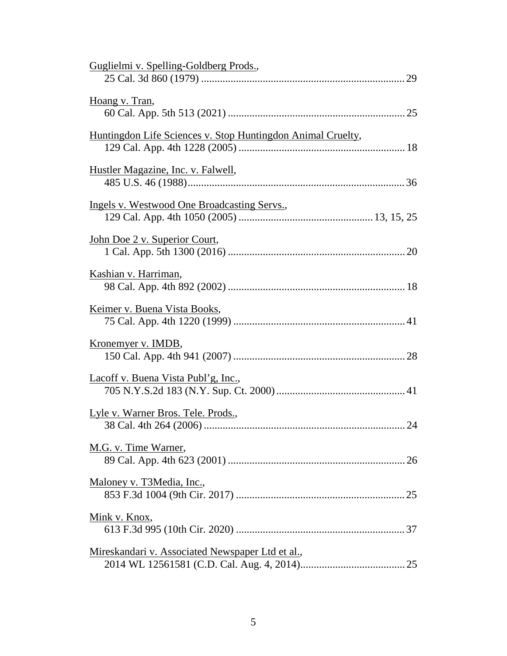| Guglielmi v. Spelling-Goldberg Prods.,                      |
|-------------------------------------------------------------|
| Hoang v. Tran,                                              |
| Huntingdon Life Sciences v. Stop Huntingdon Animal Cruelty, |
| Hustler Magazine, Inc. v. Falwell,                          |
| <b>Ingels v. Westwood One Broadcasting Servs.,</b>          |
| <u>John Doe 2 v. Superior Court,</u>                        |
| Kashian v. Harriman,                                        |
| <u>Keimer v. Buena Vista Books,</u>                         |
| Kronemyer v. IMDB,                                          |
| Lacoff v. Buena Vista Publ'g, Inc.,                         |
| Lyle v. Warner Bros. Tele. Prods.,                          |
| M.G. v. Time Warner,                                        |
| Maloney v. T3Media, Inc.,                                   |
| Mink v. Knox,                                               |
| Mireskandari v. Associated Newspaper Ltd et al.,            |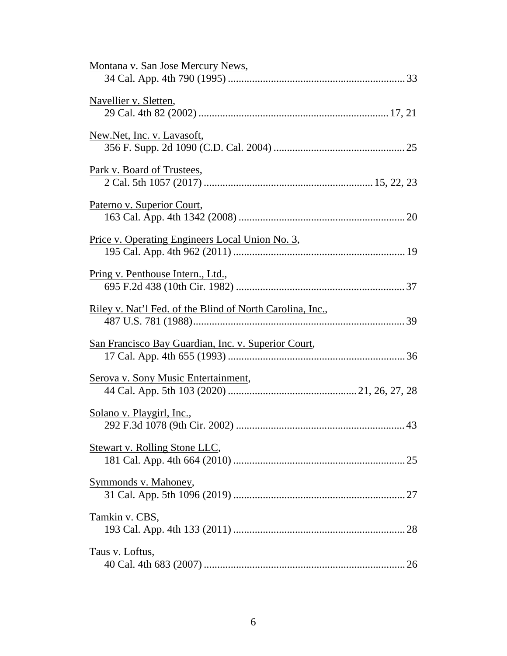| Montana v. San Jose Mercury News,                                |
|------------------------------------------------------------------|
| Navellier v. Sletten,                                            |
| New.Net, Inc. v. Lavasoft,                                       |
| Park v. Board of Trustees,                                       |
| Paterno v. Superior Court,                                       |
| Price v. Operating Engineers Local Union No. 3,                  |
| <u>Pring v. Penthouse Intern., Ltd.,</u>                         |
| <u>Riley v. Nat'l Fed. of the Blind of North Carolina, Inc.,</u> |
| San Francisco Bay Guardian, Inc. v. Superior Court,              |
| Serova v. Sony Music Entertainment,                              |
| Solano v. Playgirl, Inc.,                                        |
| <b>Stewart v. Rolling Stone LLC,</b>                             |
| Symmonds v. Mahoney,                                             |
| Tamkin v. CBS,                                                   |
| Taus v. Loftus,                                                  |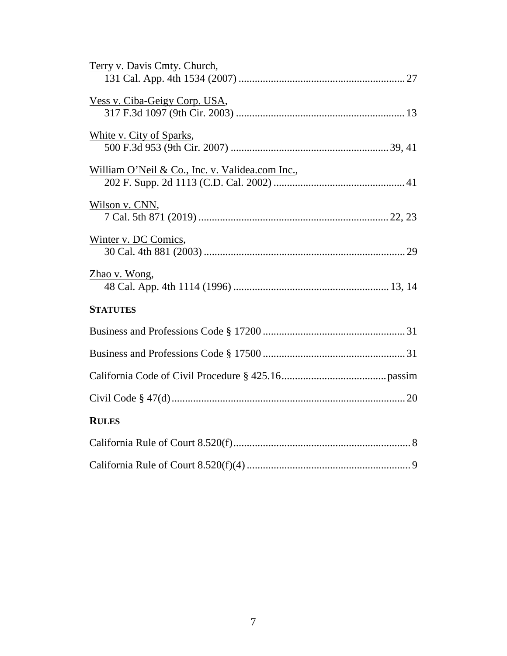| Terry v. Davis Cmty. Church,                    |
|-------------------------------------------------|
|                                                 |
| Vess v. Ciba-Geigy Corp. USA,                   |
|                                                 |
| White v. City of Sparks,                        |
|                                                 |
| William O'Neil & Co., Inc. v. Validea.com Inc., |
|                                                 |
| Wilson v. CNN,                                  |
|                                                 |
| Winter v. DC Comics,                            |
|                                                 |
| Zhao v. Wong,                                   |
|                                                 |
| <b>STATUTES</b>                                 |
|                                                 |
|                                                 |
|                                                 |
|                                                 |
| <b>RULES</b>                                    |
|                                                 |
|                                                 |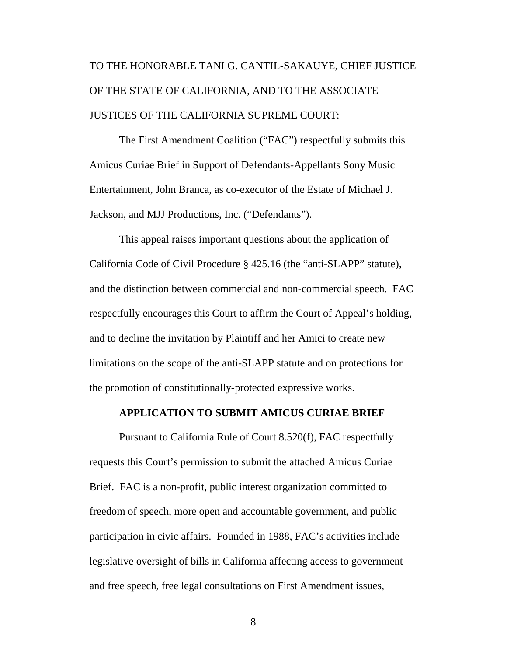### TO THE HONORABLE TANI G. CANTIL-SAKAUYE, CHIEF JUSTICE<br>OF THE STATE OF CALIFORNIA, AND TO THE ASSOCIATE<br>JUSTICES OF THE CALIFORNIA SUPREME COURT:<br>The First Amendment Coalition ("FAC") respectfully submits this OF THE STATE OF CALIFORNIA, AND TO THE ASSOCIATE JUSTICES OF THE CALIFORNIA SUPREME COURT:

The First Amendment Coalition ("FAC") respectfully submits this Amicus Curiae Brief in Support of Defendants-Appellants Sony Music Amicus Curiae Brief in Support of Defendants-Appellants Sony Music Entertainment, John Branca, as co-executor of the Estate of Michael J. Entertainment, John Branca, as co-executor of the Estate of Michael J. Jackson, and MJJ Productions, Inc. ("Defendants"). Jackson, and MJJ Productions, Inc. ("Defendants").

This appeal raises important questions about the application of California Code of Civil Procedure § 425.16 (the "anti-SLAPP" statute), and the distinction between commercial and non-commercial speech. FAC respectfully encourages this Court to affirm the Court of Appeal's holding, and to decline the invitation by Plaintiff and her Amici to create new and to decline the invitation by Plaintiff and her Amici to create new<br>limitations on the scope of the anti-SLAPP statute and on protections for the promotion of constitutionally-protected expressive works. the promotion of constitutionally-protected expressive works. This appeal raises important questions about the application of<br>California Code of Civil Procedure § 425.16 (the "anti-SLAPP" statute),<br>and the distinction between commercial and non-commercial speech. FAC<br>respectfully enc

#### APPLICATION TO SUBMIT AMICUS CURIAE BRIEF **APPLICATION TO SUBMIT AMICUS CURIAE BRIEF**

Pursuant to California Rule of Court 8.520(f), FAC respectfully requests this Court's permission to submit the attached Amicus Curiae Brief. FAC is a non-profit, public interest organization committed to freedom of speech, more open and accountable government, and public participation in civic affairs. Founded in 1988, FAC's activities include legislative oversight of bills in California affecting access to government and free speech, free legal consultations on First Amendment issues, Pursuant to California Rule of Court 8.520(f), FAC respectfully<br>requests this Court's permission to submit the attached Amicus Curiae<br>Brief. FAC is a non-profit, public interest organization committed to<br>freedom of speech,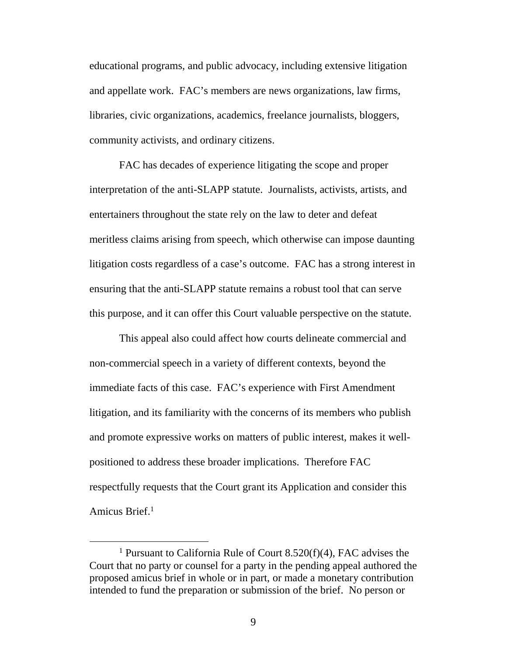educational programs, and public advocacy, including extensive litigation<br>and appellate work. FAC's members are news organizations, law firms,<br>libraries, civic organizations, academics, freelance journalists, bloggers,<br>com and appellate work. FAC's members are news organizations, law firms, libraries, civic organizations, academics, freelance journalists, bloggers, community activists, and ordinary citizens.

FAC has decades of experience litigating the scope and proper FAC has decades of experience litigating the scope and proper interpretation of the anti-SLAPP statute. Journalists, activists, artists, and interpretation of the anti-SLAPP statute. Journalists, activists, artists, and entertainers throughout the state rely on the law to deter and defeat meritless claims arising from speech, which otherwise can impose daunting litigation costs regardless of a case's outcome. FAC has a strong interest in ensuring that the anti-SLAPP statute remains a robust tool that can serve this purpose, and it can offer this Court valuable perspective on the statute. this purpose, and it can offer this Court valuable perspective on the statute. meritless claims arising from speech, which otherwise can impose daunting<br>litigation costs regardless of a case's outcome. FAC has a strong interest in<br>ensuring that the anti-SLAPP statute remains a robust tool that can se

This appeal also could affect how courts delineate commercial and non-commercial speech in a variety of different contexts, beyond the This appeal also could affect how courts delineate commercial and<br>non-commercial speech in a variety of different contexts, beyond the<br>immediate facts of this case. FAC's experience with First Amendment litigation, and its familiarity with the concerns of its members who publish litigation, and its familiarity with the concerns of its members who publish and promote expressive works on matters of public interest, makes it well-and promote expressive works on matters of public interest, makes it wellpositioned to address these broader implications. Therefore FAC respectfully requests that the Court grant its Application and consider this Amicus Brief.' positioned to address these broader implications. Therefore FAC<br>respectfully requests that the Court grant its Application and consider this<br>Amicus Brief.<sup>1</sup>

<sup>&</sup>lt;sup>1</sup> Pursuant to California Rule of Court 8.520(f)(4), FAC advises the Court that no party or counsel for a party in the pending appeal authored the proposed amicus brief in whole or in part, or made a monetary contribution intended to fund the preparation or submission of the brief. No person or <sup>1</sup> Pursuant to California Rule of Court 8.520(f)(4), FAC advises the Court that no party or counsel for a party in the pending appeal authored the proposed amicus brief in whole or in part, or made a monetary contributio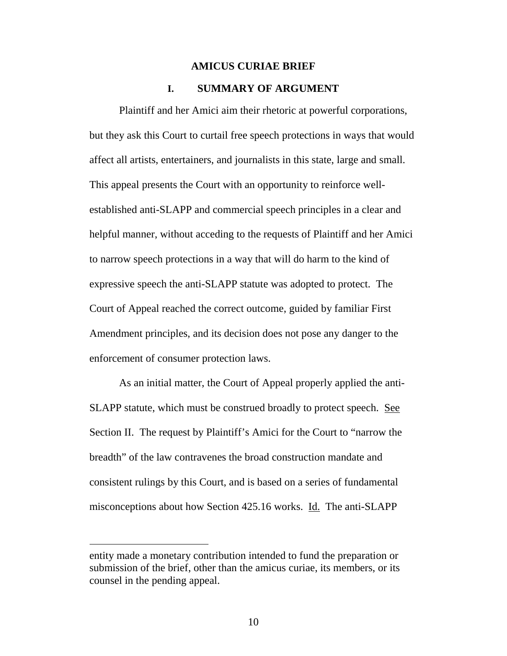#### AMICUS CURIAE BRIEF **AMICUS CURIAE BRIEF**

#### I. SUMMARY OF ARGUMENT **I. SUMMARY OF ARGUMENT**

Plaintiff and her Amici aim their rhetoric at powerful corporations, but they ask this Court to curtail free speech protections in ways that would affect all artists, entertainers, and journalists in this state, large and small. This appeal presents the Court with an opportunity to reinforce wellestablished anti-SLAPP and commercial speech principles in a clear and helpful manner, without acceding to the requests of Plaintiff and her Amici to narrow speech protections in a way that will do harm to the kind of expressive speech the anti-SLAPP statute was adopted to protect. The Court of Appeal reached the correct outcome, guided by familiar First Amendment principles, and its decision does not pose any danger to the enforcement of consumer protection laws. Plaintiff and her Amici aim their rhetoric at powerful corporations,<br>but they ask this Court to curtail free speech protections in ways that would<br>affect all artists, entertainers, and journalists in this state, large and established anti-SLAPP and commercial speech principles in a clear and<br>helpful manner, without acceding to the requests of Plaintiff and her Amici<br>to narrow speech protections in a way that will do harm to the kind of<br>expr

As an initial matter, the Court of Appeal properly applied the anti-SLAPP statute, which must be construed broadly to protect speech. See Section II. The request by Plaintiff's Amici for the Court to "narrow the Section II. The request by Plaintiff's Amici for the Court to "narrow the breadth" of the law contravenes the broad construction mandate and breadth" of the law contravenes the broad construction mandate and consistent rulings by this Court, and is based on a series of fundamental misconceptions about how Section 425.16 works. Id. The anti-SLAPP consistent rulings by this Court, and is based on a series of fundamental<br>misconceptions about how Section 425.16 works. <u>Id.</u> The anti-SLAPP<br>entity made a monetary contribution intended to fund the preparation or<br>submissi

entity made a monetary contribution intended to fund the preparation or submission of the brief, other than the amicus curiae, its members, or its counsel in the pending appeal. counsel in the pending appeal.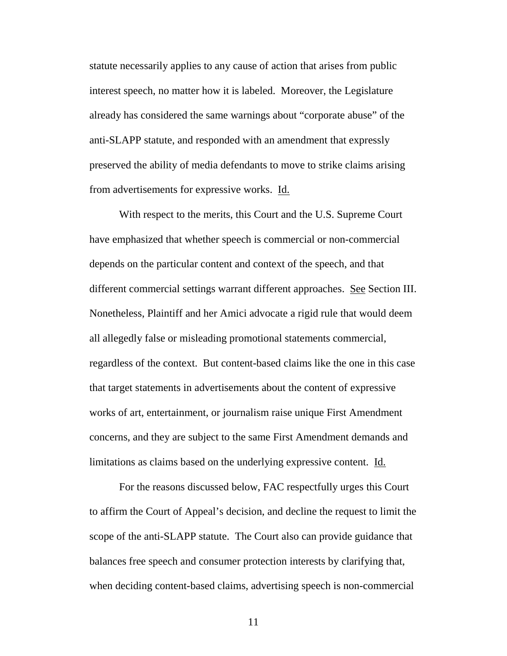statute necessarily applies to any cause of action that arises from public interest speech, no matter how it is labeled. Moreover, the Legislature already has considered the same warnings about "corporate abuse" of the anti-SLAPP statute, and responded with an amendment that expressly preserved the ability of media defendants to move to strike claims arising preserved the ability of media defendants to move to strike claims arising from advertisements for expressive works. Id. statute necessarily applies to any cause of action that arises from public<br>interest speech, no matter how it is labeled. Moreover, the Legislature<br>already has considered the same warnings about "corporate abuse" of the<br>ant

With respect to the merits, this Court and the U.S. Supreme Court With respect to the merits, this Court and the U.S. Supreme Court have emphasized that whether speech is commercial or non-commercial<br>depends on the particular content and context of the speech, and that<br>different commercial settings warrant different approaches. See Section III. depends on the particular content and context of the speech, and that different commercial settings warrant different approaches. See Section III. Nonetheless, Plaintiff and her Amici advocate a rigid rule that would deem all allegedly false or misleading promotional statements commercial, regardless of the context. But content-based claims like the one in this case that target statements in advertisements about the content of expressive works of art, entertainment, or journalism raise unique First Amendment concerns, and they are subject to the same First Amendment demands and limitations as claims based on the underlying expressive content. Id. Nonetheless, Plaintiff and her Amici advocate a rigid rule that would deem<br>all allegedly false or misleading promotional statements commercial,<br>regardless of the context. But content-based claims like the one in this case<br> works of art, entertainment, or journalism raise unique First Amendment<br>concerns, and they are subject to the same First Amendment demands and<br>limitations as claims based on the underlying expressive content. <u>Id.</u><br>For the

For the reasons discussed below, FAC respectfully urges this Court to affirm the Court of Appeal's decision, and decline the request to limit the<br>scope of the anti-SLAPP statute. The Court also can provide guidance that scope of the anti-SLAPP statute. The Court also can provide guidance that balances free speech and consumer protection interests by clarifying that, when deciding content-based claims, advertising speech is non-commercial balances free speech and consumer protection interests by clarifying that, when deciding content-based claims, advertising speech is non-commercial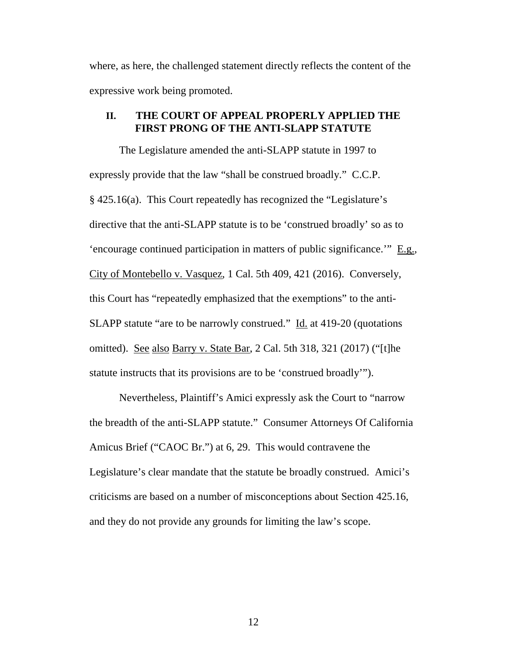where, as here, the challenged statement directly reflects the content of the where, as here, the challenged statement directly reflects the content of the expressive work being promoted. expressive work being promoted.

#### **II. THE COURT OF APPEAL PROPERLY APPLIED THE FIRST PRONG OF THE ANTI-SLAPP STATUTE** FIRST PRONG OF THE ANTI-SLAPP STATUTE

The Legislature amended the anti-SLAPP statute in 1997 to The Legislature amended the anti-SLAPP statute in 1997 to expressly provide that the law "shall be construed broadly." C.C.P. expressly provide that the law "shall be construed broadly." C.C.P. § 425.16(a). This Court repeatedly has recognized the "Legislature's § 425.16(a). This Court repeatedly has recognized the "Legislature's directive that the anti-SLAPP statute is to be `construed broadly' so as to directive that the anti-SLAPP statute is to be 'construed broadly' so as to 'encourage continued participation in matters of public significance.'"  $\underline{E.g.}$ ,<br>City of Montebello v. Vasquez, 1 Cal. 5th 409, 421 (2016). Conversely,<br>this Court has "repeatedly emphasized that the exemptions" to the City of Montebello v. Vasquez, 1 Cal. 5th 409, 421 (2016). Conversely, this Court has "repeatedly emphasized that the exemptions" to the anti-SLAPP statute "are to be narrowly construed." Id. at 419-20 (quotations omitted). See also Barry v. State Bar, 2 Cal. 5th 318, 321 (2017) ("[t]he statute instructs that its provisions are to be 'construed broadly'"). SLAPP statute "are to be narrowly construed." <u>Id.</u> at 419-20 (quotations<br>omitted). <u>See also Barry v. State Bar</u>, 2 Cal. 5th 318, 321 (2017) ("[t]he<br>statute instructs that its provisions are to be 'construed broadly'").<br>N

Nevertheless, Plaintiff's Amici expressly ask the Court to "narrow the breadth of the anti-SLAPP statute." Consumer Attorneys Of California the breadth of the anti-SLAPP statute." Consumer Attorneys Of California Amicus Brief ("CAOC Br.") at 6, 29. This would contravene the Legislature's clear mandate that the statute be broadly construed. Amici's criticisms are based on a number of misconceptions about Section 425.16, and they do not provide any grounds for limiting the law's scope. Amicus Brief ("CAOC Br.") at 6, 29. This would contravene the<br>Legislature's clear mandate that the statute be broadly construed. Amici's<br>criticisms are based on a number of misconceptions about Section 425.16,<br>and they do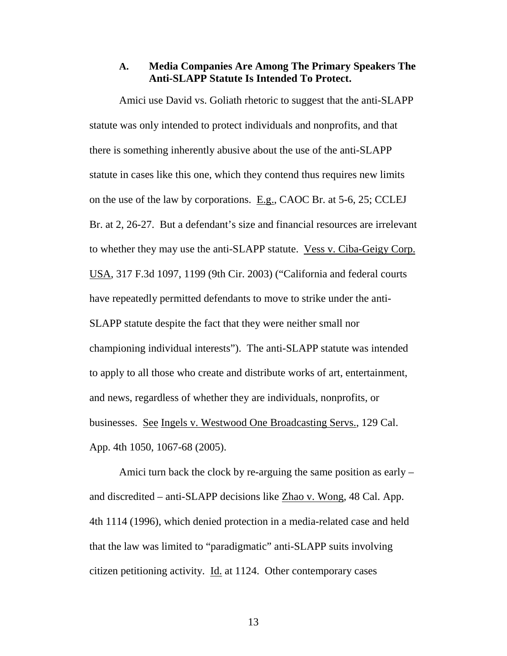#### A. Media Companies Are Among The Primary Speakers The **A. Media Companies Are Among The Primary Speakers The Anti-SLAPP Statute Is Intended To Protect.**  Anti-SLAPP Statute Is Intended To Protect.

Amici use David vs. Goliath rhetoric to suggest that the anti-SLAPP Amici use David vs. Goliath rhetoric to suggest that the anti-SLAPP<br>statute was only intended to protect individuals and nonprofits, and that there is something inherently abusive about the use of the anti-SLAPP statute in cases like this one, which they contend thus requires new limits statute in cases like this one, which they contend thus requires new limits on the use of the law by corporations.  $E.g., CAOC Br.$  at 5-6, 25; CCLEJ Br. at 2, 26-27. But a defendant's size and financial resources are irrelevant Br. at 2, 26-27. But a defendant's size and financial resources are irrelevant to whether they may use the anti-SLAPP statute. <u>Vess v. Ciba-Geigy Corp.</u><br>USA, 317 F.3d 1097, 1199 (9th Cir. 2003) ("California and federal courts<br>have repeatedly permitted defendants to move to strike under the anti-USA, 317 F.3d 1097, 1199 (9th Cir. 2003) ("California and federal courts have repeatedly permitted defendants to move to strike under the anti-SLAPP statute despite the fact that they were neither small nor SLAPP statute despite the fact that they were neither small nor<br>championing individual interests"). The anti-SLAPP statute was intended to apply to all those who create and distribute works of art, entertainment, to apply to all those who create and distribute works of art, entertainment, and news, regardless of whether they are individuals, nonprofits, or and news, regardless of whether they are individuals, nonprofits, or businesses. See Ingels v. Westwood One Broadcasting Servs., 129 Cal. App. 4th 1050, 1067-68 (2005).

Amici turn back the clock by re-arguing the same position as early and discredited — anti-SLAPP decisions like Zhao v. Wong, 48 Cal. App. App. 4th 1050, 1067-68 (2005).<br>Amici turn back the clock by re-arguing the same position as early –<br>and discredited – anti-SLAPP decisions like <u>Zhao v. Wong</u>, 48 Cal. App.<br>4th 1114 (1996), which denied protection in a med that the law was limited to "paradigmatic" anti-SLAPP suits involving<br>citizen petitioning activity. <u>Id.</u> at 1124. Other contemporary cases citizen petitioning activity. Id. at 1124. Other contemporary cases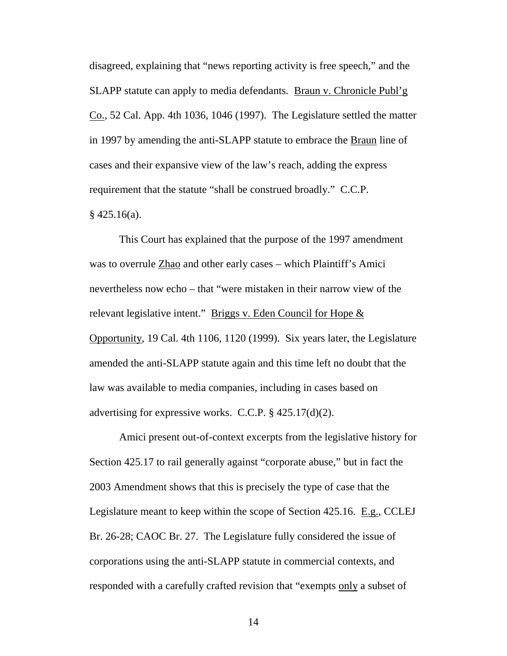disagreed, explaining that "news reporting activity is free speech," and the SLAPP statute can apply to media defendants. Braun v. Chronicle Publ'g disagreed, explaining that "news reporting activity is free speech," and the<br>SLAPP statute can apply to media defendants. <u>Braun v. Chronicle Publ'g</u><br><u>Co.</u>, 52 Cal. App. 4th 1036, 1046 (1997). The Legislature settled the m in 1997 by amending the anti-SLAPP statute to embrace the **Braun** line of cases and their expansive view of the law's reach, adding the express cases and their expansive view of the law's reach, adding the express requirement that the statute "shall be construed broadly." C.C.P.  $§$  425.16(a).

This Court has explained that the purpose of the 1997 amendment was to overrule Zhao and other early cases — which Plaintiff's Amici nevertheless now echo — that "were mistaken in their narrow view of the relevant legislative intent." Briggs v. Eden Council for Hope & Opportunity, 19 Cal. 4th 1106, 1120 (1999). Six years later, the Legislature amended the anti-SLAPP statute again and this time left no doubt that the<br>law was available to media companies, including in cases based on law was available to media companies, including in cases based on advertising for expressive works. C.C.P. § 425.17(d)(2). This Court has explained that the purpose of the 1997 amendment<br>was to overrule  $Zhao$  and other early cases – which Plaintiff's Amici<br>nevertheless now echo – that "were mistaken in their narrow view of the<br>relevant legisl

Amici present out-of-context excerpts from the legislative history for Section 425.17 to rail generally against "corporate abuse," but in fact the 2003 Amendment shows that this is precisely the type of case that the Legislature meant to keep within the scope of Section 425.16. E.g., CCLEJ Br. 26-28; CAOC Br. 27. The Legislature fully considered the issue of corporations using the anti-SLAPP statute in commercial contexts, and responded with a carefully crafted revision that "exempts only a subset of advertising for expressive works. C.C.P. § 425.17(d)(2).<br>Amici present out-of-context excerpts from the legislative history for<br>Section 425.17 to rail generally against "corporate abuse," but in fact the<br>2003 Amendment sho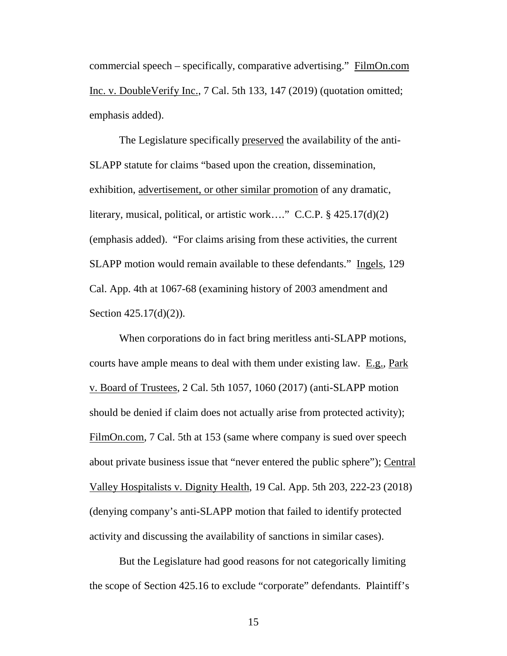commercial speech – specifically, comparative advertising." FilmOn.com<br>Inc. v. DoubleVerify Inc., 7 Cal. 5th 133, 147 (2019) (quotation omitted;<br>emphasis added).<br>The Legislature specifically preserved the availability of t Inc. v. DoubleVerify Inc., 7 Cal. 5th 133, 147 (2019) (quotation omitted; emphasis added).

The Legislature specifically preserved the availability of the anti-SLAPP statute for claims "based upon the creation, dissemination, SLAPP statute for claims "based upon the creation, dissemination, exhibition, advertisement, or other similar promotion of any dramatic, literary, musical, political, or artistic work...." C.C.P. § 425.17(d)(2) literary, musical, political, or artistic work…." C.C.P. § 425.17(d)(2) (emphasis added). "For claims arising from these activities, the current SLAPP motion would remain available to these defendants." Ingels, 129 (emphasis added). "For claims arising from these activities, the current<br>SLAPP motion would remain available to these defendants." Ingels, 129<br>Cal. App. 4th at 1067-68 (examining history of 2003 amendment and Section 425.17(d)(2)).

When corporations do in fact bring meritless anti-SLAPP motions, Section 425.17(d)(2)).<br>When corporations do in fact bring meritless anti-SLAPP motions,<br>courts have ample means to deal with them under existing law. <u>E.g.</u>, Park v. Board of Trustees, 2 Cal. 5th 1057, 1060 (2017) (anti-SLAPP motion v. Board of Trustees, 2 Cal. 5th 1057, 1060 (2017) (anti-SLAPP motion should be denied if claim does not actually arise from protected activity); should be denied if claim does not actually arise from protected activity); FilmOn.com, 7 Cal. 5th at 153 (same where company is sued over speech about private business issue that "never entered the public sphere"); Central Valley Hospitalists v. Dignity Health, 19 Cal. App. 5th 203, 222-23 (2018) (denying company's anti-SLAPP motion that failed to identify protected activity and discussing the availability of sanctions in similar cases). FilmOn.com, 7 Cal. 5th at 153 (same where company is sued over speech<br>about private business issue that "never entered the public sphere"); <u>Central</u><br>Valley Hospitalists v. Dignity Health, 19 Cal. App. 5th 203, 222-23 (201

But the Legislature had good reasons for not categorically limiting activity and discussing the availability of sanctions in similar cases).<br>But the Legislature had good reasons for not categorically limiting<br>the scope of Section 425.16 to exclude "corporate" defendants. Plaintiff's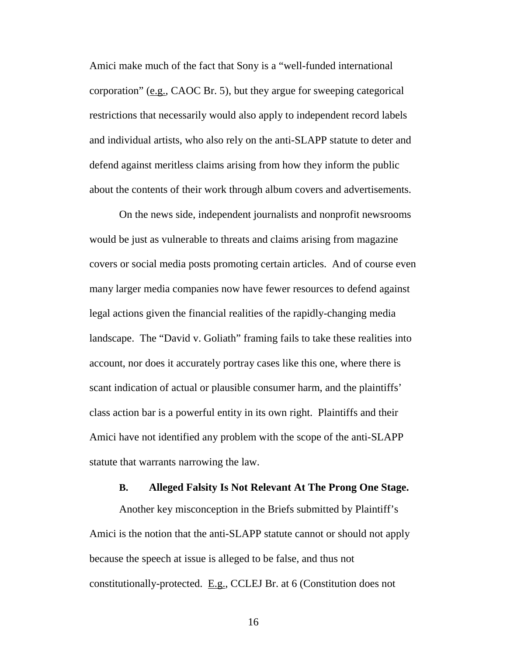Amici make much of the fact that Sony is a "well-funded international corporation" (e.g., CAOC Br. 5), but they argue for sweeping categorical restrictions that necessarily would also apply to independent record labels and individual artists, who also rely on the anti-SLAPP statute to deter and defend against meritless claims arising from how they inform the public defend against meritless claims arising from how they inform the public about the contents of their work through album covers and advertisements. about the contents of their work through album covers and advertisements. Amici make much of the fact that Sony is a "well-funded international<br>corporation" (e.g., CAOC Br. 5), but they argue for sweeping categorical<br>restrictions that necessarily would also apply to independent record labels<br>and

On the news side, independent journalists and nonprofit newsrooms On the news side, independent journalists and nonprofit newsrooms would be just as vulnerable to threats and claims arising from magazine covers or social media posts promoting certain articles. And of course even many larger media companies now have fewer resources to defend against legal actions given the financial realities of the rapidly-changing media landscape. The "David v. Goliath" framing fails to take these realities into account, nor does it accurately portray cases like this one, where there is scant indication of actual or plausible consumer harm, and the plaintiffs' scant indication of actual or plausible consumer harm, and the plaintiffs' class action bar is a powerful entity in its own right. Plaintiffs and their Amici have not identified any problem with the scope of the anti-SLAPP statute that warrants narrowing the law. would be just as vulnerable to threats and claims arising from magazine covers or social media posts promoting certain articles. And of course even many larger media companies now have fewer resources to defend against legal actions given the financial realities of the rapidly-changing media<br>landscape. The "David v. Goliath" framing fails to take these realities into<br>account, nor does it accurately portray cases like this one, where ther class action bar is a powerful entity in its own right. Plaintiffs and their Amici have not identified any problem with the scope of the anti-SLAPP statute that warrants narrowing the law.

#### B. Alleged Falsity Is Not Relevant At The Prong One Stage. **B. Alleged Falsity Is Not Relevant At The Prong One Stage.**

Another key misconception in the Briefs submitted by Plaintiff's Another key misconception in the Briefs submitted by Plaintiff's<br>Amici is the notion that the anti-SLAPP statute cannot or should not apply because the speech at issue is alleged to be false, and thus not because the speech at issue is alleged to be false, and thus not constitutionally-protected. E.g., CCLEJ Br. at 6 (Constitution does not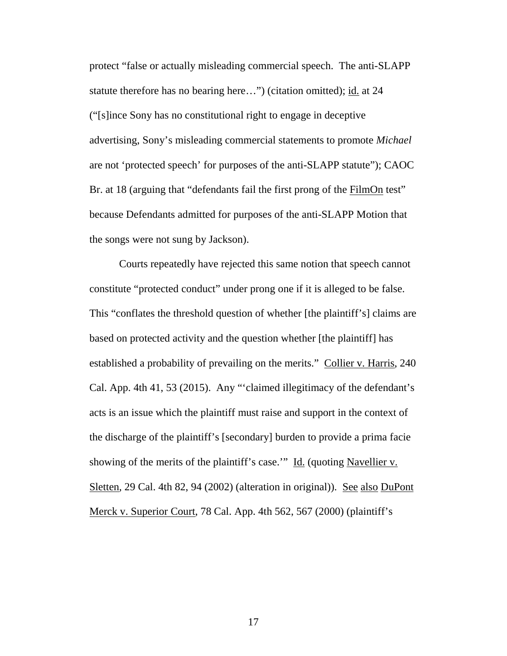protect "false or actually misleading commercial speech. The anti-SLAPP<br>statute therefore has no bearing here...") (citation omitted); <u>id.</u> at 24<br>("[s]ince Sony has no constitutional right to engage in deceptive<br>advertisi statute therefore has no bearing here...") (citation omitted); id. at 24 ("[s]ince Sony has no constitutional right to engage in deceptive advertising, Sony's misleading commercial statements to promote Michael are not `protected speech' for purposes of the anti-SLAPP statute"); CAOC are not 'protected speech' for purposes of the anti-SLAPP statute"); CAOC Br. at 18 (arguing that "defendants fail the first prong of the **FilmOn** test" because Defendants admitted for purposes of the anti-SLAPP Motion that the songs were not sung by Jackson).

Courts repeatedly have rejected this same notion that speech cannot constitute "protected conduct" under prong one if it is alleged to be false. This "conflates the threshold question of whether [the plaintiff's] claims are based on protected activity and the question whether [the plaintiff] has established a probability of prevailing on the merits." Collier v. Harris, 240 Cal. App. 4th 41, 53 (2015). Any "'claimed illegitimacy of the defendant's acts is an issue which the plaintiff must raise and support in the context of acts is an issue which the plaintiff must raise and support in the context of the discharge of the plaintiff's [secondary] burden to provide a prima facie showing of the merits of the plaintiff's case."" Id. (quoting Navellier v. Sletten, 29 Cal. 4th 82, 94 (2002) (alteration in original)). See also DuPont Merck v. Superior Court, 78 Cal. App. 4th 562, 567 (2000) (plaintiff's because Defendants admitted for purposes of the anti-SLAPP Motion that<br>the songs were not sung by Jackson).<br>Courts repeatedly have rejected this same notion that speech cannot<br>constitute "protected conduct" under prong one the discharge of the plaintiff's [secondary] burden to provide a prima facie<br>showing of the merits of the plaintiff's case.'" <u>Id.</u> (quoting <u>Navellier v.</u><br>Sletten, 29 Cal. 4th 82, 94 (2002) (alteration in original)). <u>See</u>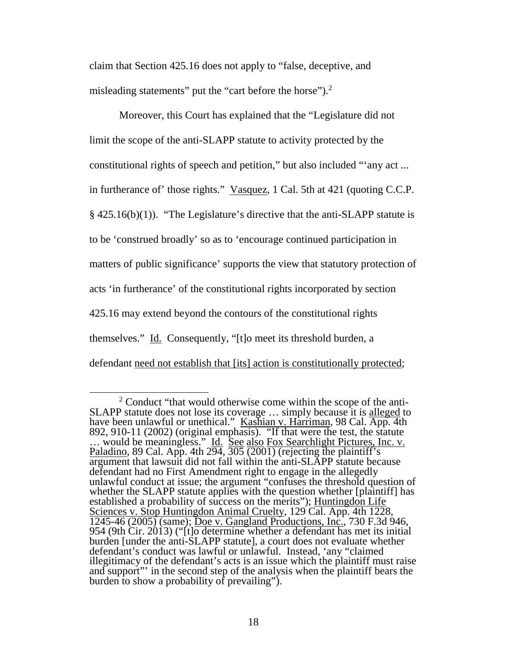claim that Section 425.16 does not apply to "false, deceptive, and claim that Section 425.16 does not apply to "false, deceptive, and misleading statements" put the "cart before the horse").<sup>2</sup>

Moreover, this Court has explained that the "Legislature did not Moreover, this Court has explained that the "Legislature did not<br>limit the scope of the anti-SLAPP statute to activity protected by the constitutional rights of speech and petition," but also included "'any act ... in furtherance of' those rights." Vasquez, 1 Cal. 5th at 421 (quoting C.C.P. § 425.16(b)(1)). "The Legislature's directive that the anti-SLAPP statute is § 425.16(b)(1)). "The Legislature's directive that the anti-SLAPP statute is to be 'construed broadly' so as to 'encourage continued participation in<br>matters of public significance' supports the view that statutory protection of matters of public significance' supports the view that statutory protection of acts `in furtherance' of the constitutional rights incorporated by section 425.16 may extend beyond the contours of the constitutional rights themselves." Id. Consequently, "[t]o meet its threshold burden, a acts 'in furtherance' of the constitutional rights incorporated by section<br>425.16 may extend beyond the contours of the constitutional rights<br>themselves." <u>Id.</u> Consequently, "[t]o meet its threshold burden, a<br>defendant <u>n</u>

<sup>&</sup>lt;sup>2</sup> Conduct "that would otherwise come within the scope of the anti-SLAPP statute does not lose its coverage ... simply because it is alleged to have been unlawful or unethical." Kashian v. Harriman, 98 Cal. App. 4th 892, 910-11 (2002) (original emphasis). "If that were the test, the statute ... would be meaningless." <u>Id. See also Fox Searchlight Pictures, Inc. v.</u> Paladino, 89 Cal. App. 4th  $2\overline{94}$ ,  $3\overline{05}$   $\overline{(2001)}$  (rejecting the plaintiff's argument that lawsuit did not fall within the anti-SLAPP statute because defendant had no First Amendment right to engage in the allegedly unlawful conduct at issue; the argument "confuses the threshold question of whether the SLAPP statute applies with the question whether [plaintiff] has established a probability of success on the merits"); Huntingdon Life Sciences v. Stop Huntingdon Animal Cruelty, 129 Cal. App. 4th 1228, 1245-46 (2005) (same); Doe v. Gangland Productions, Inc., 730 F.3d 946, 954 (9th Cir. 2013) ("[t]o determine whether a defendant has met its initial burden [under the anti-SLAPP statute], a court does not evaluate whether defendant's conduct was lawful or unlawful. Instead, 'any "claimed illegitimacy of the defendant's acts is an issue which the plaintiff must raise and support"' in the second step of the analysis when the plaintiff bears the burden to show a probability of prevailing"). SLAPP statute does not lose its coverage ... simply because it is <u>alleged</u> to have been unlawful or unethical." <u>Kashian v. Harriman</u>, 98 Cal. App. 4th 892, 910-11 (2002) (original emphasis). "If that were the test, the s Paladino, 89 Cal. App. 4th  $294$ ,  $305$  (2001) (rejecting the plaintiff's argument that lawsuit did not fall within the anti-SLAPP statute because defendant had no First Amendment right to engage in the allegedly unlawful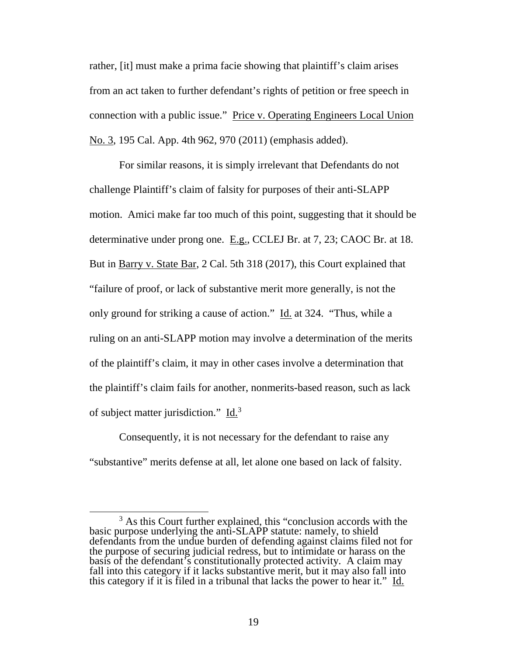rather, [it] must make a prima facie showing that plaintiff's claim arises from an act taken to further defendant's rights of petition or free speech in connection with a public issue." Price v. Operating Engineers Local Union No. 3, 195 Cal. App. 4th 962, 970 (2011) (emphasis added). rather, [it] must make a prima facie showing that plaintiff's claim arises<br>from an act taken to further defendant's rights of petition or free speech in<br>connection with a public issue." Price v. Operating Engineers Local U

For similar reasons, it is simply irrelevant that Defendants do not For similar reasons, it is simply irrelevant that Defendants do not challenge Plaintiff's claim of falsity for purposes of their anti-SLAPP challenge Plaintiff's claim of falsity for purposes of their anti-SLAPP motion. Amici make far too much of this point, suggesting that it should be motion. Amici make far too much of this point, suggesting that it should be determinative under prong one. E.g., CCLEJ Br. at 7, 23; CAOC Br. at 18. But in Barry v. State Bar, 2 Cal. 5th 318 (2017), this Court explained that "failure of proof, or lack of substantive merit more generally, is not the only ground for striking a cause of action." Id. at 324. "Thus, while a ruling on an anti-SLAPP motion may involve a determination of the merits of the plaintiff's claim, it may in other cases involve a determination that of the plaintiff's claim, it may in other cases involve a determination that<br>the plaintiff's claim fails for another, nonmerits-based reason, such as lack of subject matter jurisdiction."  $\underline{Id.}^3$ determinative under prong one. E.g., CCLEJ Br. at 7, 23; CAOC Br. at 18.<br>But in <u>Barry v. State Bar</u>, 2 Cal. 5th 318 (2017), this Court explained that<br>"failure of proof, or lack of substantive merit more generally, is not

Consequently, it is not necessary for the defendant to raise any Consequently, it is not necessary for the defendant to raise any "substantive" merits defense at all, let alone one based on lack of falsity. "substantive" merits defense at all, let alone one based on lack of falsity.

<sup>3</sup> As this Court further explained, this "conclusion accords with the 3 As this Court further explained, this "conclusion accords with the basic purpose underlying the anti-SLAPP statute: namely, to shield basic purpose underlying the anti-SLAPP statute: namely, to shield defendants from the undue burden of defending against claims filed not for the purpose of securing judicial redress, but to intimidate or harass on the basis of the defendant's constitutionally protected activity. A claim may fall into this category if it lacks substantive merit, but it may also fall into this category if it is filed in a tribunal that lacks the power to hear it." Id. defendants from the undue burden of defending against claims filed not for<br>the purpose of securing judicial redress, but to intimidate or harass on the<br>basis of the defendant's constitutionally protected activity. A claim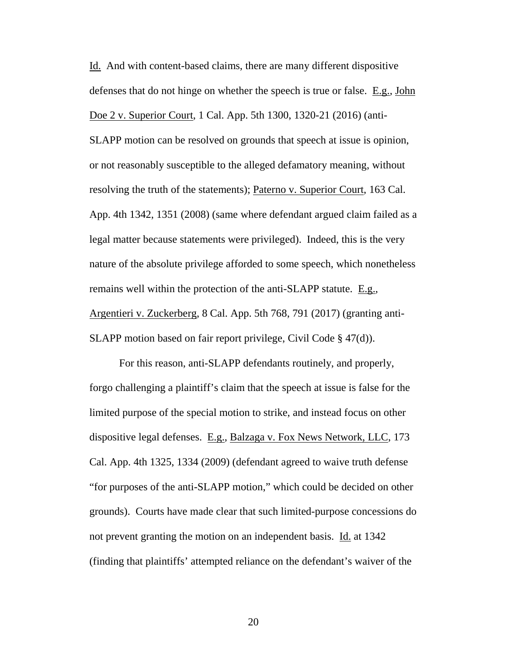Id. And with content-based claims, there are many different dispositive defenses that do not hinge on whether the speech is true or false. E.g., John Doe 2 v. Superior Court, 1 Cal. App. 5th 1300, 1320-21 (2016) (anti-SLAPP motion can be resolved on grounds that speech at issue is opinion, SLAPP motion can be resolved on grounds that speech at issue is opinion, or not reasonably susceptible to the alleged defamatory meaning, without or not reasonably susceptible to the alleged defamatory meaning, without resolving the truth of the statements); Paterno v. Superior Court, 163 Cal. App. 4th 1342, 1351 (2008) (same where defendant argued claim failed as a App. 4th 1342, 1351 (2008) (same where defendant argued claim failed as a legal matter because statements were privileged). Indeed, this is the very legal matter because statements were privileged). Indeed, this is the very nature of the absolute privilege afforded to some speech, which nonetheless nature of the absolute privilege afforded to some speech, which nonetheless remains well within the protection of the anti-SLAPP statute. E.g., remains well within the protection of the anti-SLAPP statute. E.g.,<br>Argentieri v. Zuckerberg, 8 Cal. App. 5th 768, 791 (2017) (granting anti-SLAPP motion based on fair report privilege, Civil Code § 47(d)). Id. And with content-based claims, there are many different dispositive defenses that do not hinge on whether the speech is true or false. <u>E.g., John Doe 2 v. Superior Court</u>, 1 Cal. App. 5th 1300, 1320-21 (2016) (anti-

For this reason, anti-SLAPP defendants routinely, and properly, SLAPP motion based on fair report privilege, Civil Code § 47(d)).<br>For this reason, anti-SLAPP defendants routinely, and properly,<br>forgo challenging a plaintiff's claim that the speech at issue is false for the limited purpose of the special motion to strike, and instead focus on other limited purpose of the special motion to strike, and instead focus on other dispositive legal defenses. E.g., Balzaga v. Fox News Network, LLC, 173<br>Cal. App. 4th 1325, 1334 (2009) (defendant agreed to waive truth defense<br>"for purposes of the anti-SLAPP motion," which could be decided on other Cal. App. 4th 1325, 1334 (2009) (defendant agreed to waive truth defense "for purposes of the anti-SLAPP motion," which could be decided on other grounds). Courts have made clear that such limited-purpose concessions do<br>not prevent granting the motion on an independent basis. <u>Id.</u> at 1342<br>(finding that plaintiffs' attempted reliance on the defendant's waiver of the not prevent granting the motion on an independent basis. Id. at 1342 (finding that plaintiffs' attempted reliance on the defendant's waiver of the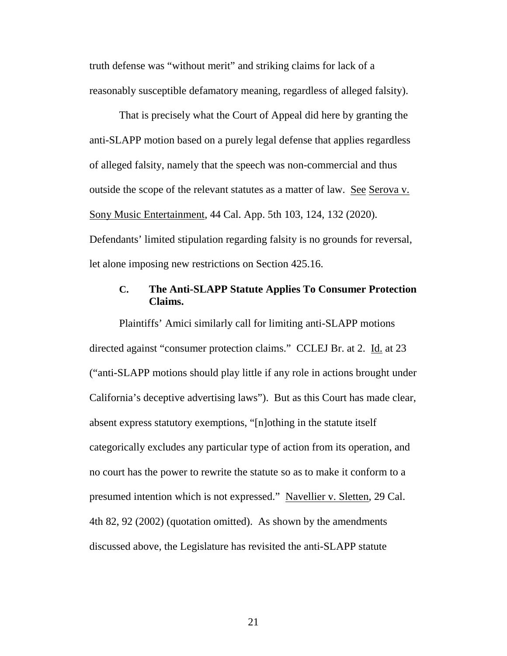truth defense was "without merit" and striking claims for lack of a reasonably susceptible defamatory meaning, regardless of alleged falsity). truth defense was "without merit" and striking claims for lack of a<br>reasonably susceptible defamatory meaning, regardless of alleged falsity).<br>That is precisely what the Court of Appeal did here by granting the<br>anti-SLAPP

That is precisely what the Court of Appeal did here by granting the anti-SLAPP motion based on a purely legal defense that applies regardless of alleged falsity, namely that the speech was non-commercial and thus of alleged falsity, namely that the speech was non-commercial and thus outside the scope of the relevant statutes as a matter of law. See Serova v. Sony Music Entertainment, 44 Cal. App. 5th 103, 124, 132 (2020). Defendants' limited stipulation regarding falsity is no grounds for reversal, Sony Music Entertainment, 44 Cal. App. 5th 103, 124, 132 (2020). Defendants' limited stipulation regarding falsity is no grounds for reversal, let alone imposing new restrictions on Section 425.16.

let alone imposing new restrictions on Section 425.16.

#### C. The Anti-SLAPP Statute Applies To Consumer Protection **C. The Anti-SLAPP Statute Applies To Consumer Protection**  Claims. **Claims.**

Plaintiffs' Amici similarly call for limiting anti-SLAPP motions Plaintiffs' Amici similarly call for limiting anti-SLAPP motions directed against "consumer protection claims." CCLEJ Br. at 2. Id. at 23 ("anti-SLAPP motions should play little if any role in actions brought under directed against "consumer protection claims." CCLEJ Br. at 2. Id. at 23<br>("anti-SLAPP motions should play little if any role in actions brought under<br>California's deceptive advertising laws"). But as this Court has made cl absent express statutory exemptions, "[n]othing in the statute itself absent express statutory exemptions, "[n]othing in the statute itself categorically excludes any particular type of action from its operation, and no court has the power to rewrite the statute so as to make it conform to a presumed intention which is not expressed." Navellier v. Sletten, 29 Cal. 4th 82, 92 (2002) (quotation omitted). As shown by the amendments discussed above, the Legislature has revisited the anti-SLAPP statute categorically excludes any particular type of action from its operation, and<br>no court has the power to rewrite the statute so as to make it conform to a<br>presumed intention which is not expressed." <u>Navellier v. Sletten</u>, 2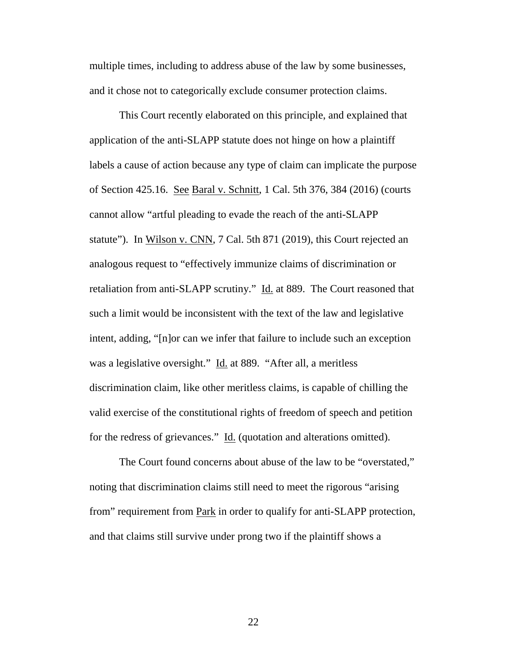multiple times, including to address abuse of the law by some businesses, multiple times, including to address abuse of the law by some businesses,

and it chose not to categorically exclude consumer protection claims.<br>This Court recently elaborated on this principle, and explained that<br>application of the anti-SLAPP statute does not hinge on how a plaintiff This Court recently elaborated on this principle, and explained that application of the anti-SLAPP statute does not hinge on how a plaintiff labels a cause of action because any type of claim can implicate the purpose labels a cause of action because any type of claim can implicate the purpose of Section 425.16. See Baral v. Schnitt, 1 Cal. 5th 376, 384 (2016) (courts cannot allow "artful pleading to evade the reach of the anti-SLAPP cannot allow "artful pleading to evade the reach of the anti-SLAPP<br>statute"). In <u>Wilson v. CNN,</u> 7 Cal. 5th 871 (2019), this Court rejected an analogous request to "effectively immunize claims of discrimination or retaliation from anti-SLAPP scrutiny." Id. at 889. The Court reasoned that such a limit would be inconsistent with the text of the law and legislative intent, adding, "[n]or can we infer that failure to include such an exception was a legislative oversight." Id. at 889. "After all, a meritless discrimination claim, like other meritless claims, is capable of chilling the valid exercise of the constitutional rights of freedom of speech and petition valid exercise of the constitutional rights of freedom of speech and petition for the redress of grievances." <u>Id.</u> (quotation and alterations omitted).<br>The Court found concerns about abuse of the law to be "overstated," analogous request to "effectively immunize claims of discrimination or<br>retaliation from anti-SLAPP scrutiny." <u>Id.</u> at 889. The Court reasoned that<br>such a limit would be inconsistent with the text of the law and legislativ

The Court found concerns about abuse of the law to be "overstated," noting that discrimination claims still need to meet the rigorous "arising from" requirement from **Park** in order to qualify for anti-SLAPP protection, and that claims still survive under prong two if the plaintiff shows a noting that discrimination claims still need to meet the rigorous "arising<br>from" requirement from <u>Park</u> in order to qualify for anti-SLAPP protection,<br>and that claims still survive under prong two if the plaintiff shows a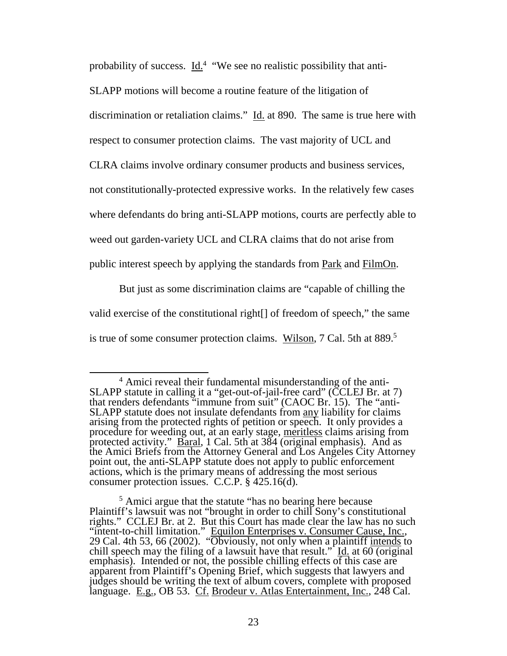probability of success. Id.<sup>4</sup> "We see no realistic possibility that anti-

SLAPP motions will become a routine feature of the litigation of SLAPP motions will become a routine feature of the litigation of

discrimination or retaliation claims." <u>Id.</u> at 890. The same is true here with respect to consumer protection claims. The vast majority of UCL and

respect to consumer protection claims. The vast majority of UCL and

CLRA claims involve ordinary consumer products and business services, CLRA claims involve ordinary consumer products and business services,

not constitutionally-protected expressive works. In the relatively few cases not constitutionally-protected expressive works. In the relatively few cases

where defendants do bring anti-SLAPP motions, courts are perfectly able to where defendants do bring anti-SLAPP motions, courts are perfectly able to

weed out garden-variety UCL and CLRA claims that do not arise from<br>public interest speech by applying the standards from <u>Park</u> and FilmOn. public interest speech by applying the standards from Park and FilmOn.

But just as some discrimination claims are "capable of chilling the valid exercise of the constitutional right[] of freedom of speech," the same is true of some consumer protection claims. Wilson, 7 Cal. 5th at 889.<sup>5</sup> But just as some discrimination claims are "capable of chilling the valid exercise of the constitutional right[] of freedom of speech," the same is true of some consumer protection claims. Wilson, 7 Cal. 5th at 889.<sup>5</sup>

<sup>4</sup> Amici reveal their fundamental misunderstanding of the anti-4 Amici reveal their fundamental misunderstanding of the anti-SLAPP statute in calling it a "get-out-of-jail-free card" (CCLEJ Br. at 7) SLAPP statute in calling it a "get-out-of-jail-free card" (CCLEJ Br. at 7) that renders defendants "immune from suit" (CAOC Br. 15). The "anti-SLAPP statute does not insulate defendants from any liability for claims arising from the protected rights of petition or speech. It only provides a procedure for weeding out, at an early stage, meritless claims arising from protected activity."  $\overline{\text{Baral}}$ , 1 Cal. 5th at 384 (original emphasis). And as the Amici Briefs from the Attorney General and Los Angeles City Attorney point out, the anti-SLAPP statute does not apply to public enforcement actions, which is the primary means of addressing the most serious consumer protection issues. C.C.P. § 425.16(d). arising from the protected rights of petition or speech. It only provides a<br>procedure for weeding out, at an early stage, <u>meritless</u> claims arising from<br>protected activity." <u>Baral</u>, 1 Cal. 5th at 384 (original emphasis). point out, the anti-SLAPP statute does not apply to public enforcement actions, which is the primary means of addressing the most serious consumer protection issues. C.C.P. § 425.16(d).

<sup>&</sup>lt;sup>5</sup> Amici argue that the statute "has no bearing here because Plaintiff's lawsuit was not "brought in order to chill Sony's constitutional rights." CCLEJ Br. at 2. But this Court has made clear the law has no such "intent-to-chill limitation." Equilon Enterprises v. Consumer Cause, Inc., 29 Cal. 4th 53, 66 (2002). "Obviously, not only when a plaintiff intends to chill speech may the filing of a lawsuit have that result." Id. at  $60$  (original emphasis). Intended or not, the possible chilling effects of this case are apparent from Plaintiff's Opening Brief, which suggests that lawyers and judges should be writing the text of album covers, complete with proposed language. E.g., OB 53. Cf. Brodeur v. Atlas Entertainment, Inc., 248 Cal. <sup>5</sup> Amici argue that the statute "has no bearing here because<br>Plaintiff's lawsuit was not "brought in order to chill Sony's constitutional<br>rights." CCLEJ Br. at 2. But this Court has made clear the law has no such<br>"intent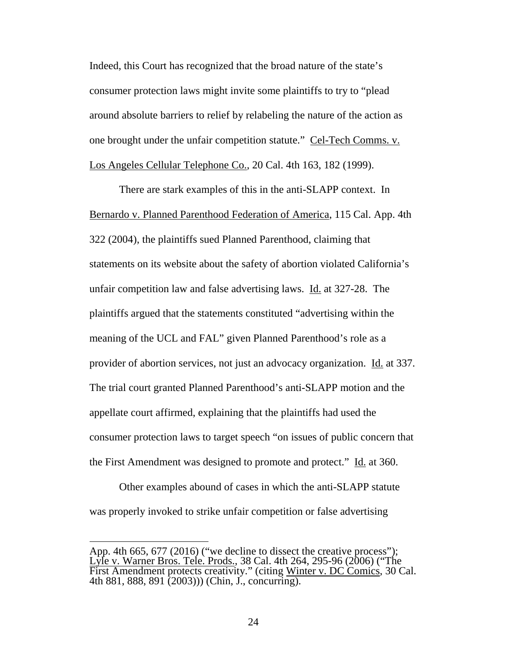Indeed, this Court has recognized that the broad nature of the state's consumer protection laws might invite some plaintiffs to try to "plead around absolute barriers to relief by relabeling the nature of the action as one brought under the unfair competition statute." Cel-Tech Comms. v. Los Angeles Cellular Telephone Co., 20 Cal. 4th 163, 182 (1999). Los Angeles Cellular Telephone Co., 20 Cal. 4th 163, 182 (1999). Indeed, this Court has recognized that the broad nature of the state's<br>consumer protection laws might invite some plaintiffs to try to "plead<br>around absolute barriers to relief by relabeling the nature of the action as<br>one

There are stark examples of this in the anti-SLAPP context. In Bernardo v. Planned Parenthood Federation of America, 115 Cal. App. 4th 322 (2004), the plaintiffs sued Planned Parenthood, claiming that statements on its website about the safety of abortion violated California's unfair competition law and false advertising laws. Id. at 327-28. The plaintiffs argued that the statements constituted "advertising within the meaning of the UCL and FAL" given Planned Parenthood's role as a provider of abortion services, not just an advocacy organization. Id. at 337. The trial court granted Planned Parenthood's anti-SLAPP motion and the appellate court affirmed, explaining that the plaintiffs had used the appellate court affirmed, explaining that the plaintiffs had used the consumer protection laws to target speech "on issues of public concern that the First Amendment was designed to promote and protect." Id. at 360. There are stark examples of this in the anti-SLAPP context. In<br>Bernardo v. Planned Parenthood Federation of America, 115 Cal. App. 4th<br>322 (2004), the plaintiffs sued Planned Parenthood, claiming that<br>statements on its web unfair competition law and false advertising laws. <u>Id.</u> at 327-28. The<br>plaintiffs argued that the statements constituted "advertising within the<br>meaning of the UCL and FAL" given Planned Parenthood's role as a<br>provider of

Other examples abound of cases in which the anti-SLAPP statute was properly invoked to strike unfair competition or false advertising

App. 4th 665, 677 (2016) ("we decline to dissect the creative process"); Lyle v. Warner Bros. Tele. Prods., 38 Cal. 4th 264, 295-96 (2006) ("The First Amendment protects creativity." (citing Winter v. DC Comics, 30 Cal. 4th 881, 888, 891 (2003))) (Chin, J., concurring). consumer protection laws to target speech "on issues of public concern that<br>the First Amendment was designed to promote and protect." <u>Id.</u> at 360.<br>Other examples abound of cases in which the anti-SLAPP statute<br>was properl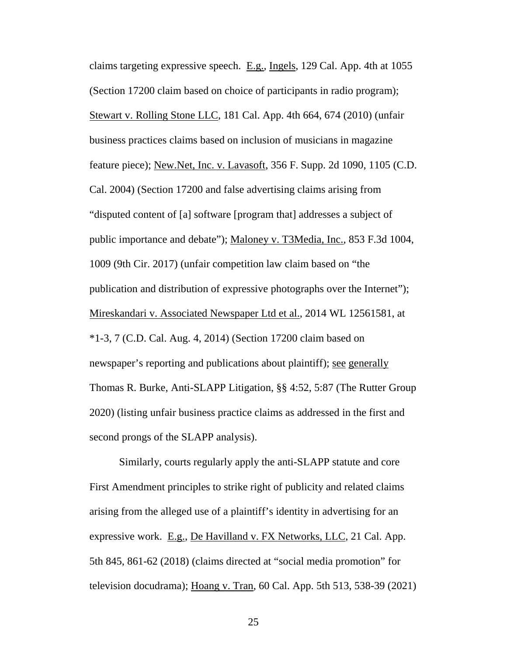claims targeting expressive speech.  $E.g., Ingels, 129 Cal. App. 4th at 1055$ (Section 17200 claim based on choice of participants in radio program); Stewart v. Rolling Stone LLC, 181 Cal. App. 4th 664, 674 (2010) (unfair business practices claims based on inclusion of musicians in magazine feature piece); New.Net, Inc. v. Lavasoft, 356 F. Supp. 2d 1090, 1105 (C.D. Cal. 2004) (Section 17200 and false advertising claims arising from Cal. 2004) (Section 17200 and false advertising claims arising from "disputed content of [a] software [program that] addresses a subject of "disputed content of [a] software [program that] addresses a subject of public importance and debate"); Maloney v. T3Media, Inc., 853 F.3d 1004, 1009 (9th Cir. 2017) (unfair competition law claim based on "the publication and distribution of expressive photographs over the Internet"); Mireskandari v. Associated Newspaper Ltd et al., 2014 WL 12561581, at \*1-3, 7 (C.D. Cal. Aug. 4, 2014) (Section 17200 claim based on newspaper's reporting and publications about plaintiff); see generally Thomas R. Burke, Anti-SLAPP Litigation, §§ 4:52, 5:87 (The Rutter Group 2020) (listing unfair business practice claims as addressed in the first and 2020) (listing unfair business practice claims as addressed in the first and second prongs of the SLAPP analysis). claims targeting expressive speech. E.g., Ingels, 129 Cal. App. 4th at 1055<br>(Section 17200 claim based on choice of participants in radio program);<br>Stewart v. Rolling Stone LLC, 181 Cal. App. 4th 664, 674 (2010) (unfair<br>bu public importance and debate"); <u>Maloney v. T3Media, Inc.</u>, 853 F.3d 1004,<br>1009 (9th Cir. 2017) (unfair competition law claim based on "the<br>publication and distribution of expressive photographs over the Internet");<br>Miresk

Similarly, courts regularly apply the anti-SLAPP statute and core First Amendment principles to strike right of publicity and related claims second prongs of the SLAPP analysis).<br>Similarly, courts regularly apply the anti-SLAPP statute and core<br>First Amendment principles to strike right of publicity and related claims<br>arising from the alleged use of a plaintiff expressive work. <u>E.g., De Havilland v. FX Networks, LLC</u>, 21 Cal. App.<br>5th 845, 861-62 (2018) (claims directed at "social media promotion" for<br>television docudrama); <u>Hoang v. Tran</u>, 60 Cal. App. 5th 513, 538-39 (2021) 5th 845, 861-62 (2018) (claims directed at "social media promotion" for television docudrama); Hoang v. Tran, 60 Cal. App. 5th 513, 538-39 (2021)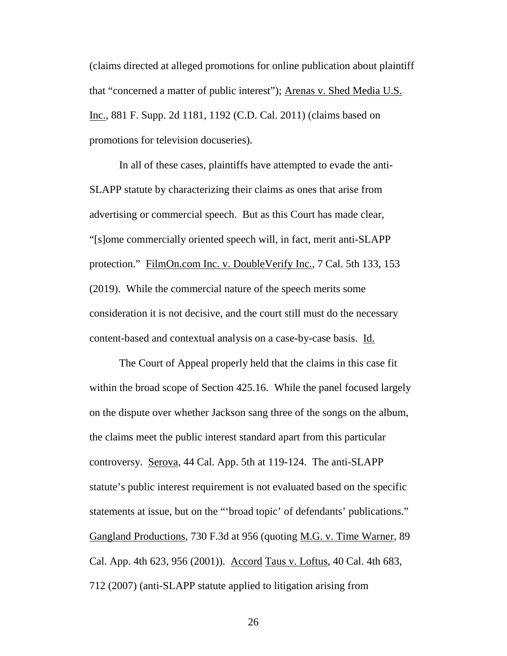(claims directed at alleged promotions for online publication about plaintiff that "concerned a matter of public interest"); Arenas v. Shed Media U.S. Inc., 881 F. Supp. 2d 1181, 1192 (C.D. Cal. 2011) (claims based on promotions for television docuseries). (claims directed at alleged promotions for online publication about plaintiff<br>that "concerned a matter of public interest"); <u>Arenas v. Shed Media U.S.</u><br>Inc., 881 F. Supp. 2d 1181, 1192 (C.D. Cal. 2011) (claims based on<br>pr

In all of these cases, plaintiffs have attempted to evade the anti-In all of these cases, plaintiffs have attempted to evade the anti-SLAPP statute by characterizing their claims as ones that arise from SLAPP statute by characterizing their claims as ones that arise from advertising or commercial speech. But as this Court has made clear, advertising or commercial speech. But as this Court has made clear, "[s]ome commercially oriented speech will, in fact, merit anti-SLAPP protection." FilmOn.com Inc. v. DoubleVerify Inc., 7 Cal. 5th 133, 153 (2019). While the commercial nature of the speech merits some consideration it is not decisive, and the court still must do the necessary content-based and contextual analysis on a case-by-case basis. Id. "[s]ome commercially oriented speech will, in fact, merit anti-SLAPP<br>protection." FilmOn.com Inc. v. DoubleVerify Inc., 7 Cal. 5th 133, 153<br>(2019). While the commercial nature of the speech merits some<br>consideration it is

The Court of Appeal properly held that the claims in this case fit within the broad scope of Section 425.16. While the panel focused largely on the dispute over whether Jackson sang three of the songs on the album, the claims meet the public interest standard apart from this particular the claims meet the public interest standard apart from this particular<br>controversy. <u>Serova</u>, 44 Cal. App. 5th at 119-124. The anti-SLAPP statute's public interest requirement is not evaluated based on the specific statute's public interest requirement is not evaluated based on the specific<br>statements at issue, but on the "'broad topic' of defendants' publications." Gangland Productions, 730 F.3d at 956 (quoting <u>M.G. v. Time Warner</u>, 89<br>Cal. App. 4th 623, 956 (2001)). <u>Accord Taus v. Loftus</u>, 40 Cal. 4th 683,<br>712 (2007) (anti-SLAPP statute applied to litigation arising from Cal. App. 4th 623, 956 (2001)). Accord Taus v. Loftus, 40 Cal. 4th 683, 712 (2007) (anti-SLAPP statute applied to litigation arising from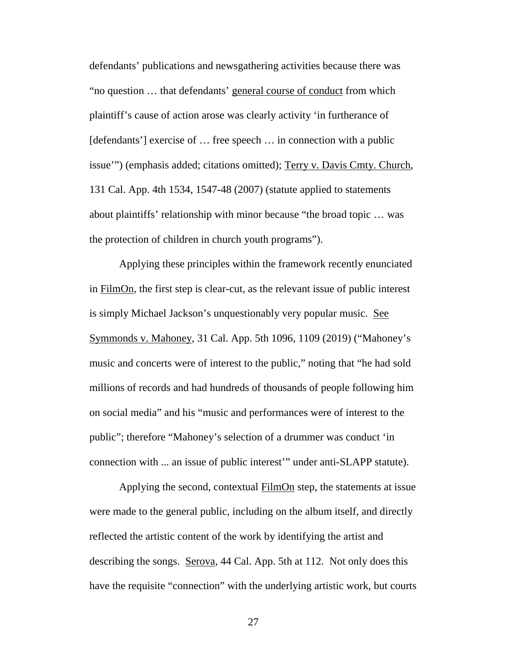defendants' publications and newsgathering activities because there was "no question ... that defendants' general course of conduct from which plaintiff's cause of action arose was clearly activity `in furtherance of [defendants'] exercise of ... free speech ... in connection with a public [defendants'] exercise of … free speech … in connection with a public issue'") (emphasis added; citations omitted); Terry v. Davis Cmty. Church, issue'") (emphasis added; citations omitted); <u>Terry v. Davis Cmty. Church</u>,<br>131 Cal. App. 4th 1534, 1547-48 (2007) (statute applied to statements about plaintiffs' relationship with minor because "the broad topic ... was about plaintiffs' relationship with minor because "the broad topic … was the protection of children in church youth programs"). the protection of children in church youth programs"). defendants' publications and newsgathering activities because there was "no question ... that defendants' general course of conduct from which plaintiff's cause of action arose was clearly activity 'in furtherance of

Applying these principles within the framework recently enunciated Applying these principles within the framework recently enunciated in <u>FilmOn</u>, the first step is clear-cut, as the relevant issue of public interest<br>is simply Michael Jackson's unquestionably very popular music. <u>See</u><br>Symmonds v. Mahoney, 31 Cal. App. 5th 1096, 1109 (2019) ("Mahoney's is simply Michael Jackson's unquestionably very popular music. See Symmonds v. Mahoney, 31 Cal. App. 5th 1096, 1109 (2019) ("Mahoney's music and concerts were of interest to the public," noting that "he had sold music and concerts were of interest to the public," noting that "he had sold<br>millions of records and had hundreds of thousands of people following him on social media" and his "music and performances were of interest to the public"; therefore "Mahoney's selection of a drummer was conduct `in connection with ... an issue of public interest'" under anti-SLAPP statute).

Applying the second, contextual FilmOn step, the statements at issue were made to the general public, including on the album itself, and directly reflected the artistic content of the work by identifying the artist and describing the songs. Serova, 44 Cal. App. 5th at 112. Not only does this have the requisite "connection" with the underlying artistic work, but courts public"; therefore "Mahoney's selection of a drummer was conduct 'in<br>connection with ... an issue of public interest'" under anti-SLAPP statute).<br>Applying the second, contextual <u>FilmOn</u> step, the statements at issue<br>were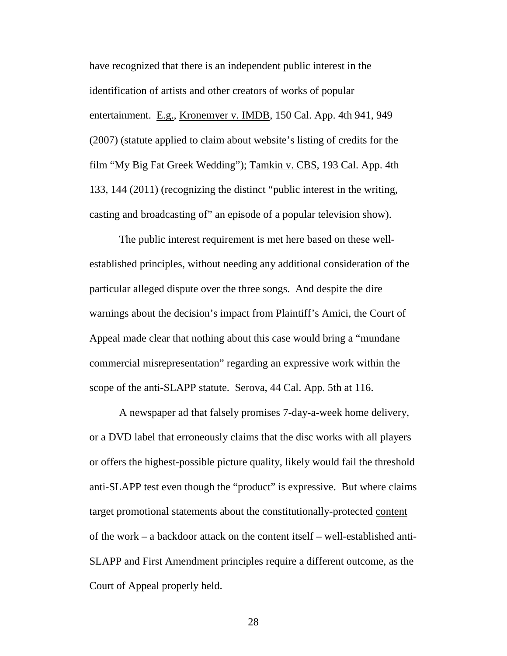have recognized that there is an independent public interest in the have recognized that there is an independent public interest in the identification of artists and other creators of works of popular identification of artists and other creators of works of popular entertainment. E.g., Kronemyer v. IMDB, 150 Cal. App. 4th 941, 949<br>(2007) (statute applied to claim about website's listing of credits for the (2007) (statute applied to claim about website's listing of credits for the film "My Big Fat Greek Wedding"); Tamkin v. CBS, 193 Cal. App. 4th 133, 144 (2011) (recognizing the distinct "public interest in the writing, 133, 144 (2011) (recognizing the distinct "public interest in the writing, casting and broadcasting of" an episode of a popular television show). casting and broadcasting of" an episode of a popular television show).

The public interest requirement is met here based on these well-The public interest requirement is met here based on these wellestablished principles, without needing any additional consideration of the particular alleged dispute over the three songs. And despite the dire warnings about the decision's impact from Plaintiff's Amici, the Court of Appeal made clear that nothing about this case would bring a "mundane commercial misrepresentation" regarding an expressive work within the scope of the anti-SLAPP statute. Serova, 44 Cal. App. 5th at 116. established principles, without needing any additional consideration of the<br>particular alleged dispute over the three songs. And despite the dire<br>warnings about the decision's impact from Plaintiff's Amici, the Court of<br>Ap

A newspaper ad that falsely promises 7-day-a-week home delivery, A newspaper ad that falsely promises 7-day-a-week home delivery, or a DVD label that erroneously claims that the disc works with all players or a DVD label that erroneously claims that the disc works with all players<br>or offers the highest-possible picture quality, likely would fail the threshold anti-SLAPP test even though the "product" is expressive. But where claims<br>target promotional statements about the constitutionally-protected <u>content</u><br>of the work – a backdoor attack on the content itself – well-establishe target promotional statements about the constitutionally-protected content of the work — a backdoor attack on the content itself — well-established anti-SLAPP and First Amendment principles require a different outcome, as the SLAPP and First Amendment principles require a different outcome, as the Court of Appeal properly held. Court of Appeal properly held.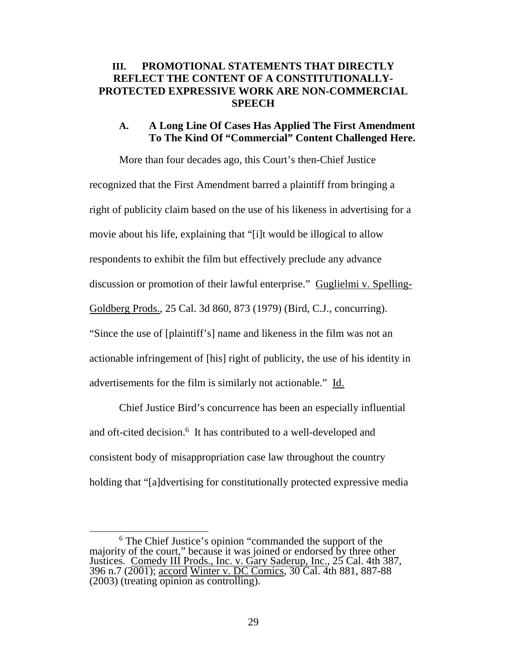#### III. PROMOTIONAL STATEMENTS THAT DIRECTLY **III. PROMOTIONAL STATEMENTS THAT DIRECTLY<br>REFLECT THE CONTENT OF A CONSTITUTIONALLY-**PROTECTED EXPRESSIVE WORK ARE NON-COMMERCIAL **PROTECTED EXPRESSIVE WORK ARE NON-COMMERCIAL SPEECH SPEECH**

#### A. A Long Line Of Cases Has Applied The First Amendment To The Kind Of "Commercial" Content Challenged Here. **A. A Long Line Of Cases Has Applied The First Amendment To The Kind Of "Commercial" Content Challenged Here.**

More than four decades ago, this Court's then-Chief Justice More than four decades ago, this Court's then-Chief Justice recognized that the First Amendment barred a plaintiff from bringing a recognized that the First Amendment barred a plaintiff from bringing a<br>right of publicity claim based on the use of his likeness in advertising for a movie about his life, explaining that "[i]t would be illogical to allow movie about his life, explaining that "[i]t would be illogical to allow respondents to exhibit the film but effectively preclude any advance respondents to exhibit the film but effectively preclude any advance<br>discussion or promotion of their lawful enterprise." Guglielmi v. Spelling-Goldberg Prods., 25 Cal. 3d 860, 873 (1979) (Bird, C.J., concurring). "Since the use of [plaintiff's] name and likeness in the film was not an actionable infringement of [his] right of publicity, the use of his identity in advertisements for the film is similarly not actionable." Id. Goldberg Prods., 25 Cal. 3d 860, 873 (1979) (Bird, C.J., concurring).<br>
"Since the use of [plaintiff's] name and likeness in the film was not an<br>
actionable infringement of [his] right of publicity, the use of his identity

Chief Justice Bird's concurrence has been an especially influential and oft-cited decision.<sup>6</sup> It has contributed to a well-developed and consistent body of misappropriation case law throughout the country consistent body of misappropriation case law throughout the country<br>holding that "[a]dvertising for constitutionally protected expressive media

<sup>&</sup>lt;sup>6</sup> The Chief Justice's opinion "commanded the support of the majority of the court," because it was joined or endorsed by three other Justices. Comedy III Prods., Inc. v. Gary Saderup, Inc., 25 Cal. 4th 387, 396 n.7 (2001); accord Winter v. DC Comics, 30 Cal. 4th 881, 887-88 (2003) (treating opinion as controlling). <sup>6</sup> The Chief Justice's opinion "commanded the support of the majority of the court," because it was joined or endorsed by three other Justices. Comedy III Prods., Inc. v. Gary Saderup, Inc., 25 Cal. 4th 387, 396 n.7 (200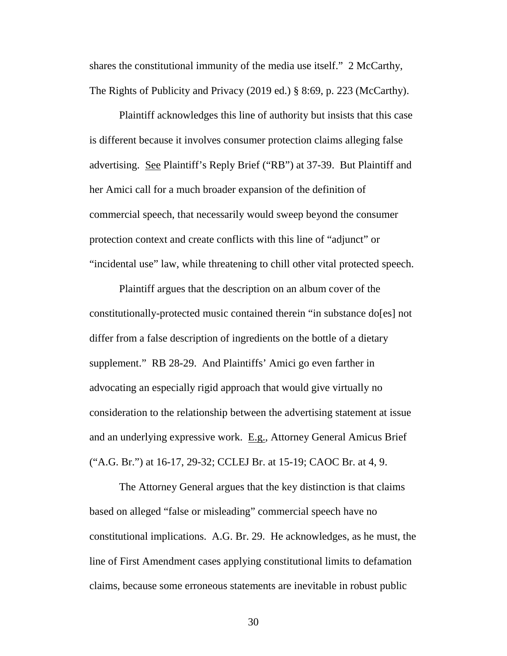shares the constitutional immunity of the media use itself." 2 McCarthy, shares the constitutional immunity of the media use itself." 2 McCarthy,<br>The Rights of Publicity and Privacy (2019 ed.) § 8:69, p. 223 (McCarthy).

Plaintiff acknowledges this line of authority but insists that this case is different because it involves consumer protection claims alleging false Plaintiff acknowledges this line of authority but insists that this case<br>is different because it involves consumer protection claims alleging false<br>advertising. See Plaintiff's Reply Brief ("RB") at 37-39. But Plaintiff an her Amici call for a much broader expansion of the definition of her Amici call for a much broader expansion of the definition of commercial speech, that necessarily would sweep beyond the consumer commercial speech, that necessarily would sweep beyond the consumer protection context and create conflicts with this line of "adjunct" or "incidental use" law, while threatening to chill other vital protected speech.

Plaintiff argues that the description on an album cover of the constitutionally-protected music contained therein "in substance do[es] not differ from a false description of ingredients on the bottle of a dietary supplement." RB 28-29. And Plaintiffs' Amici go even farther in advocating an especially rigid approach that would give virtually no consideration to the relationship between the advertising statement at issue consideration to the relationship between the advertising statement at issue and an underlying expressive work. E.g., Attorney General Amicus Brief<br>
("A.G. Br.") at 16-17, 29-32; CCLEJ Br. at 15-19; CAOC Br. at 4, 9.<br>
The Attorney General argues that the key distinction is that claims ("A.G. Br.") at 16-17, 29-32; CCLEJ Br. at 15-19; CAOC Br. at 4, 9. protection context and create conflicts with this line of "adjunct" or<br>
"incidental use" law, while threatening to chill other vital protected speech.<br>
Plaintiff argues that the description on an album cover of the<br>
consti

The Attorney General argues that the key distinction is that claims based on alleged "false or misleading" commercial speech have no constitutional implications. A.G. Br. 29. He acknowledges, as he must, the line of First Amendment cases applying constitutional limits to defamation claims, because some erroneous statements are inevitable in robust public based on alleged "false or misleading" commercial speech have no<br>constitutional implications. A.G. Br. 29. He acknowledges, as he must, the<br>line of First Amendment cases applying constitutional limits to defamation<br>claims,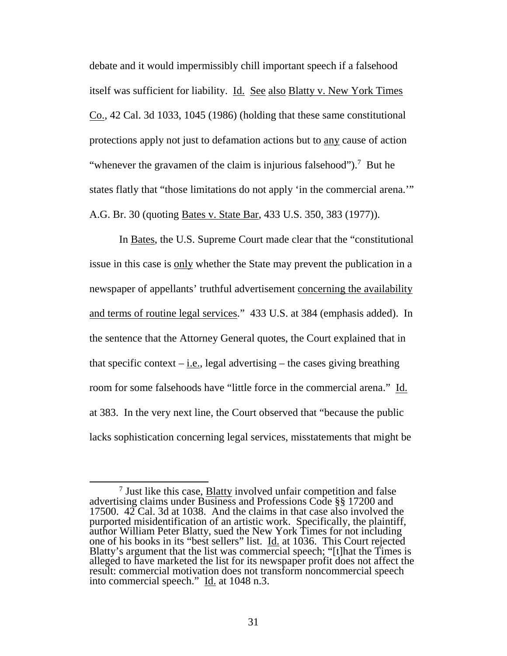debate and it would impermissibly chill important speech if a falsehood itself was sufficient for liability. Id. See also Blatty v. New York Times debate and it would impermissibly chill important speech if a falsehood<br>itself was sufficient for liability. <u>Id. See also Blatty v. New York Times</u><br><u>Co.</u>, 42 Cal. 3d 1033, 1045 (1986) (holding that these same constitution protections apply not just to defamation actions but to any cause of action "whenever the gravamen of the claim is injurious falsehood").<sup>7</sup> But he states flatly that "those limitations do not apply 'in the commercial arena."" A.G. Br. 30 (quoting *Bates v. State Bar*, 433 U.S. 350, 383 (1977)).

In Bates, the U.S. Supreme Court made clear that the "constitutional issue in this case is only whether the State may prevent the publication in a newspaper of appellants' truthful advertisement concerning the availability and terms of routine legal services."  $433$  U.S. at 384 (emphasis added). In<br>the sentence that the Attorney General quotes, the Court explained that in<br>that specific context – <u>i.e.</u>, legal advertising – the cases giving the sentence that the Attorney General quotes, the Court explained that in that specific context  $-$  i.e., legal advertising  $-$  the cases giving breathing room for some falsehoods have "little force in the commercial arena." Id. at 383. In the very next line, the Court observed that "because the public at 383. In the very next line, the Court observed that "because the public lacks sophistication concerning legal services, misstatements that might be lacks sophistication concerning legal services, misstatements that might be In <u>Bates</u>, the U.S. Supreme Court made clear that the "constitutional issue in this case is <u>only</u> whether the State may prevent the publication in a newspaper of appellants' truthful advertisement <u>concerning the availab</u>

<sup>&</sup>lt;sup>7</sup> Just like this case, **Blatty** involved unfair competition and false <sup>7</sup> Just like this case, **Blatty** involved unfair competition and false advertising claims under Business and Professions Code  $\S$  17200 and 17500.  $42 \text{ Cal}$ . 3d at 1038. And the claims in that case also involved the purported misidentification of an artistic work. Specifically, the plaintiff, author William Peter Blatty, sued the New York Times for not including one of his books in its "best sellers" list. Id. at 1036. This Court rejected 17500.  $42$  Cal. 3d at 1038. And the claims in that case also involved the purported misidentification of an artistic work. Specifically, the plaintiff, author William Peter Blatty, sued the New York Times for not includi alleged to have marketed the list for its newspaper profit does not affect the result: commercial motivation does not transform noncommercial speech into commercial speech." Id. at 1048 n.3. result: commercial motivation does not transform noncommercial speech into commercial speech." Id. at 1048 n.3.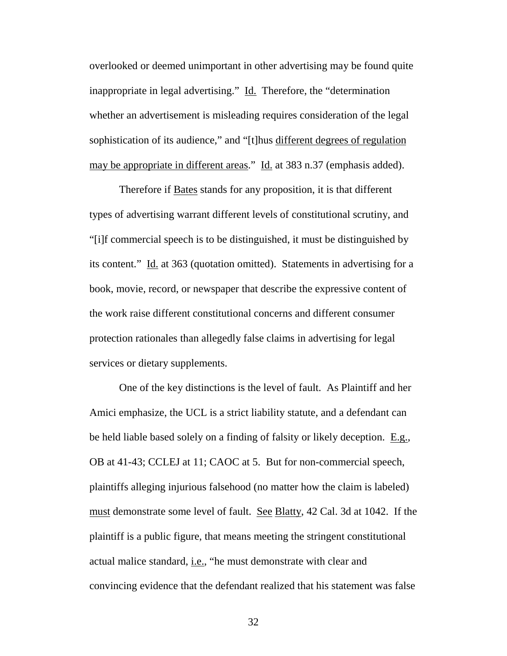overlooked or deemed unimportant in other advertising may be found quite overlooked or deemed unimportant in other advertising may be found quite inappropriate in legal advertising." Id. Therefore, the "determination whether an advertisement is misleading requires consideration of the legal inappropriate in legal advertising." Id. Therefore, the "determination<br>whether an advertisement is misleading requires consideration of the legal<br>sophistication of its audience," and "[t]hus different degrees of regulation may be appropriate in different areas." Id. at 383 n.37 (emphasis added).

Therefore if **Bates** stands for any proposition, it is that different types of advertising warrant different levels of constitutional scrutiny, and types of advertising warrant different levels of constitutional scrutiny, and "[i]f commercial speech is to be distinguished, it must be distinguished by its content." Id. at 363 (quotation omitted). Statements in advertising for a book, movie, record, or newspaper that describe the expressive content of the work raise different constitutional concerns and different consumer protection rationales than allegedly false claims in advertising for legal services or dietary supplements. "[i]f commercial speech is to be distinguished, it must be distinguished by<br>its content."  $\underline{Id}$  at 363 (quotation omitted). Statements in advertising for a<br>book, movie, record, or newspaper that describe the expressive the work raise different constitutional concerns and different consumer<br>protection rationales than allegedly false claims in advertising for legal<br>services or dietary supplements.<br>One of the key distinctions is the level o

One of the key distinctions is the level of fault. As Plaintiff and her Amici emphasize, the UCL is a strict liability statute, and a defendant can Amici emphasize, the UCL is a strict liability statute, and a defendant can be held liable based solely on a finding of falsity or likely deception. E.g., be held liable based solely on a finding of falsity or likely deception. E.g., OB at 41-43; CCLEJ at 11; CAOC at 5. But for non-commercial speech, OB at 41-43; CCLEJ at 11; CAOC at 5. But for non-commercial speech, plaintiffs alleging injurious falsehood (no matter how the claim is labeled) plaintiffs alleging injurious falsehood (no matter how the claim is labeled) must demonstrate some level of fault. See Blatty, 42 Cal. 3d at 1042. If the plaintiff is a public figure, that means meeting the stringent constitutional actual malice standard, i.e., "he must demonstrate with clear and must demonstrate some level of fault. See Blatty, 42 Cal. 3d at 1042. If the plaintiff is a public figure, that means meeting the stringent constitutional actual malice standard, <u>i.e.</u>, "he must demonstrate with clear and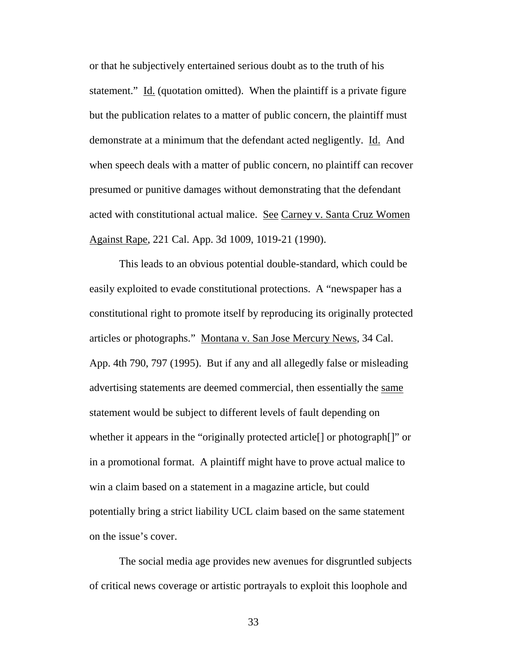or that he subjectively entertained serious doubt as to the truth of his statement." Id. (quotation omitted). When the plaintiff is a private figure but the publication relates to a matter of public concern, the plaintiff must demonstrate at a minimum that the defendant acted negligently. Id. And when speech deals with a matter of public concern, no plaintiff can recover presumed or punitive damages without demonstrating that the defendant presumed or punitive damages without demonstrating that the defendant acted with constitutional actual malice. See Carney v. Santa Cruz Women Against Rape, 221 Cal. App. 3d 1009, 1019-21 (1990). statement." Id. (quotation omitted). When the plaintiff is a private figure<br>but the publication relates to a matter of public concern, the plaintiff must<br>demonstrate at a minimum that the defendant acted negligently. Id. A

This leads to an obvious potential double-standard, which could be Against Rape, 221 Cal. App. 3d 1009, 1019-21 (1990).<br>This leads to an obvious potential double-standard, which could be<br>easily exploited to evade constitutional protections. A "newspaper has a constitutional right to promote itself by reproducing its originally protected<br>articles or photographs." <u>Montana v. San Jose Mercury News</u>, 34 Cal.<br>App. 4th 790, 797 (1995). But if any and all allegedly false or misleadin articles or photographs." Montana v. San Jose Mercury News, 34 Cal. App. 4th 790, 797 (1995). But if any and all allegedly false or misleading advertising statements are deemed commercial, then essentially the same statement would be subject to different levels of fault depending on whether it appears in the "originally protected article[] or photograph[]" or in a promotional format. A plaintiff might have to prove actual malice to win a claim based on a statement in a magazine article, but could potentially bring a strict liability UCL claim based on the same statement on the issue's cover. statement would be subject to different levels of fault depending on<br>whether it appears in the "originally protected article[] or photograph[]" or<br>in a promotional format. A plaintiff might have to prove actual malice to<br>w

The social media age provides new avenues for disgruntled subjects of critical news coverage or artistic portrayals to exploit this loophole and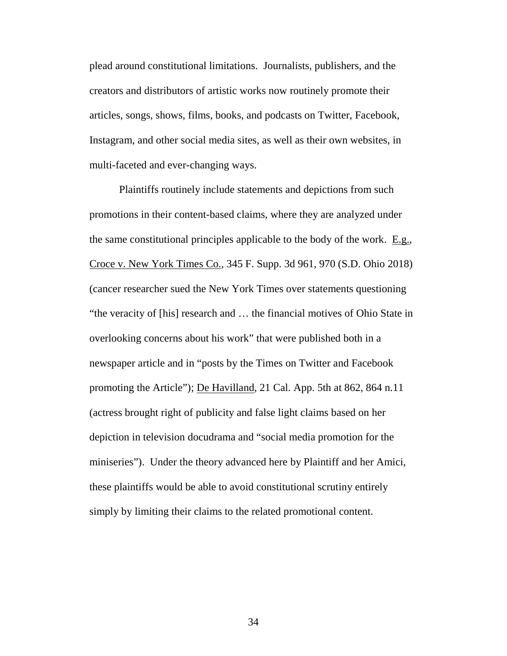plead around constitutional limitations. Journalists, publishers, and the creators and distributors of artistic works now routinely promote their articles, songs, shows, films, books, and podcasts on Twitter, Facebook, Instagram, and other social media sites, as well as their own websites, in multi-faceted and ever-changing ways. multi-faceted and ever-changing ways. plead around constitutional limitations. Journalists, publishers, and the<br>creators and distributors of artistic works now routinely promote their<br>articles, songs, shows, films, books, and podcasts on Twitter, Facebook,<br>Ins

Plaintiffs routinely include statements and depictions from such Plaintiffs routinely include statements and depictions from such promotions in their content-based claims, where they are analyzed under promotions in their content-based claims, where they are analyzed under the same constitutional principles applicable to the body of the work.  $E.g.,$ Croce v. New York Times Co., 345 F. Supp. 3d 961, 970 (S.D. Ohio 2018) (cancer researcher sued the New York Times over statements questioning "the veracity of [his] research and ... the financial motives of Ohio State in overlooking concerns about his work" that were published both in a newspaper article and in "posts by the Times on Twitter and Facebook promoting the Article"); De Havilland, 21 Cal. App. 5th at 862, 864 n.11 (actress brought right of publicity and false light claims based on her depiction in television docudrama and "social media promotion for the miniseries"). Under the theory advanced here by Plaintiff and her Amici, these plaintiffs would be able to avoid constitutional scrutiny entirely simply by limiting their claims to the related promotional content. the same constitutional principles applicable to the body of the work. E.g.,<br>Croce v. New York Times Co., 345 F. Supp. 3d 961, 970 (S.D. Ohio 2018)<br>(cancer researcher sued the New York Times over statements questioning<br>"t (actress brought right of publicity and false light claims based on her<br>depiction in television docudrama and "social media promotion for the<br>miniseries"). Under the theory advanced here by Plaintiff and her Amici,<br>these p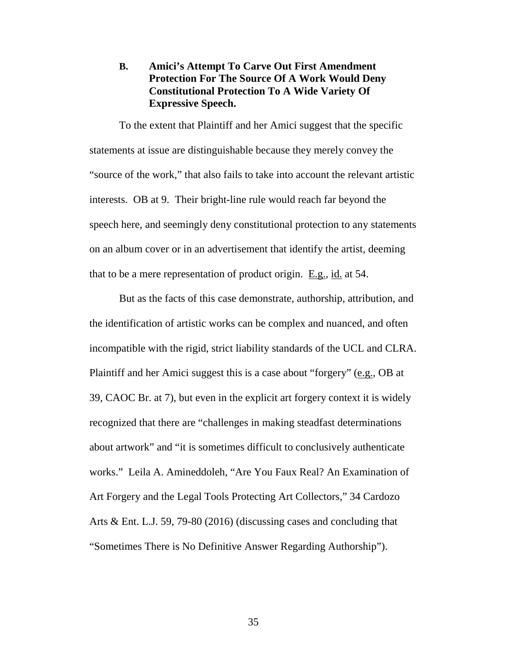#### B. Amici's Attempt To Carve Out First Amendment **B. Amici's Attempt To Carve Out First Amendment**  Protection For The Source Of A Work Would Deny<br>Constitutional Protection To A Wide Variety Of Constitutional Protection To A Wide Variety Of Expressive Speech. **Expressive Speech.**

To the extent that Plaintiff and her Amici suggest that the specific To the extent that Plaintiff and her Amici suggest that the specific<br>statements at issue are distinguishable because they merely convey the "source of the work," that also fails to take into account the relevant artistic "source of the work," that also fails to take into account the relevant artistic interests. OB at 9. Their bright-line rule would reach far beyond the interests. OB at 9. Their bright-line rule would reach far beyond the speech here, and seemingly deny constitutional protection to any statements speech here, and seemingly deny constitutional protection to any statements on an album cover or in an advertisement that identify the artist, deeming that to be a mere representation of product origin. E.g., id. at 54.

But as the facts of this case demonstrate, authorship, attribution, and the identification of artistic works can be complex and nuanced, and often incompatible with the rigid, strict liability standards of the UCL and CLRA. Plaintiff and her Amici suggest this is a case about "forgery" (e.g., OB at 39, CAOC Br. at 7), but even in the explicit art forgery context it is widely recognized that there are "challenges in making steadfast determinations recognized that there are "challenges in making steadfast determinations about artwork" and "it is sometimes difficult to conclusively authenticate works." Leila A. Amineddoleh, "Are You Faux Real? An Examination of Art Forgery and the Legal Tools Protecting Art Collectors," 34 Cardozo Arts & Ent. L.J. 59, 79-80 (2016) (discussing cases and concluding that "Sometimes There is No Definitive Answer Regarding Authorship"). "Sometimes There is No Definitive Answer Regarding Authorship"). on an album cover or in an advertisement that identify the artist, deeming<br>that to be a mere representation of product origin. <u>E.g.</u>, <u>id.</u> at 54.<br>But as the facts of this case demonstrate, authorship, attribution, and<br>t about artwork" and "it is sometimes difficult to conclusively authenticate<br>works." Leila A. Amineddoleh, "Are You Faux Real? An Examination of<br>Art Forgery and the Legal Tools Protecting Art Collectors," 34 Cardozo<br>Arts & E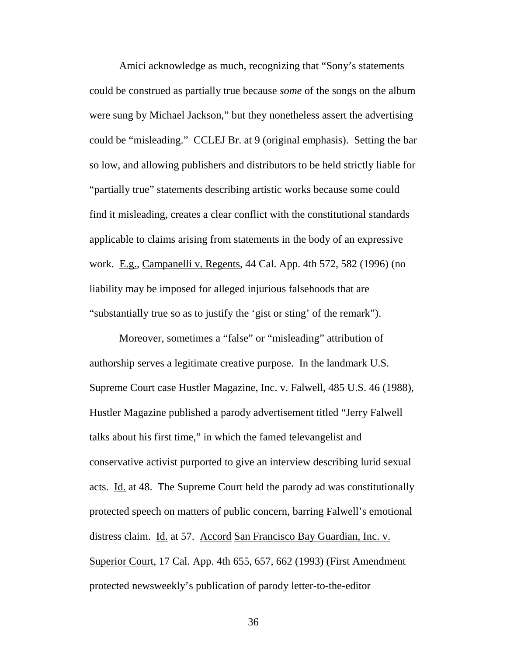Amici acknowledge as much, recognizing that "Sony's statements could be construed as partially true because some of the songs on the album were sung by Michael Jackson," but they nonetheless assert the advertising Amici acknowledge as much, recognizing that "Sony's statements<br>could be construed as partially true because *some* of the songs on the album<br>were sung by Michael Jackson," but they nonetheless assert the advertising<br>could so low, and allowing publishers and distributors to be held strictly liable for so low, and allowing publishers and distributors to be held strictly liable for "partially true" statements describing artistic works because some could "partially true" statements describing artistic works because some could find it misleading, creates a clear conflict with the constitutional standards find it misleading, creates a clear conflict with the constitutional standards applicable to claims arising from statements in the body of an expressive work. E.g., Campanelli v. Regents, 44 Cal. App. 4th 572, 582 (1996) (no liability may be imposed for alleged injurious falsehoods that are "substantially true so as to justify the `gist or sting' of the remark"). applicable to claims arising from statements in the body of an expressive<br>work. E.g., Campanelli v. Regents, 44 Cal. App. 4th 572, 582 (1996) (no<br>liability may be imposed for alleged injurious falsehoods that are<br>"substant

Moreover, sometimes a "false" or "misleading" attribution of authorship serves a legitimate creative purpose. In the landmark U.S. Supreme Court case Hustler Magazine, Inc. v. Falwell, 485 U.S. 46 (1988), Hustler Magazine published a parody advertisement titled "Jerry Falwell Hustler Magazine published a parody advertisement titled "Jerry Falwell talks about his first time," in which the famed televangelist and conservative activist purported to give an interview describing lurid sexual acts. Id. at 48. The Supreme Court held the parody ad was constitutionally protected speech on matters of public concern, barring Falwell's emotional distress claim. Id. at 57. Accord San Francisco Bay Guardian, Inc. v. Superior Court, 17 Cal. App. 4th 655, 657, 662 (1993) (First Amendment protected newsweekly's publication of parody letter-to-the-editor talks about his first time," in which the famed televangelist and<br>conservative activist purported to give an interview describing lurid sexual<br>acts. <u>Id.</u> at 48. The Supreme Court held the parody ad was constitutionally<br>pr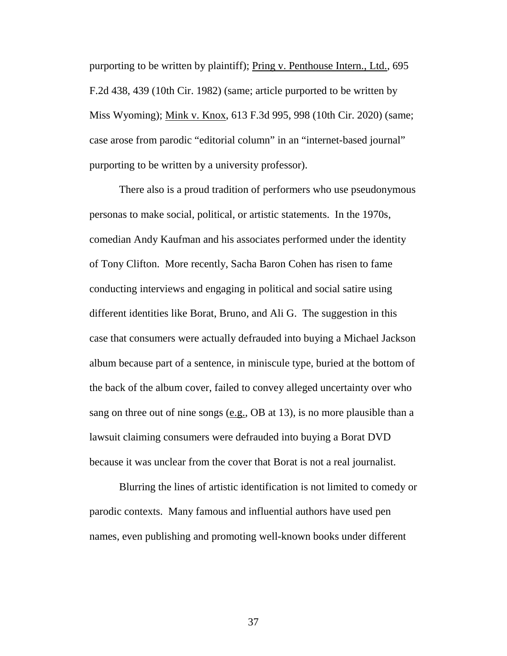purporting to be written by plaintiff); <u>Pring v. Penthouse Intern., Ltd.</u>, 695<br>F.2d 438, 439 (10th Cir. 1982) (same; article purported to be written by F.2d 438, 439 (10th Cir. 1982) (same; article purported to be written by Miss Wyoming); <u>Mink v. Knox</u>, 613 F.3d 995, 998 (10th Cir. 2020) (same;<br>case arose from parodic "editorial column" in an "internet-based journal" case arose from parodic "editorial column" in an "internet-based journal" purporting to be written by a university professor). purporting to be written by a university professor).

There also is a proud tradition of performers who use pseudonymous There also is a proud tradition of performers who use pseudonymous personas to make social, political, or artistic statements. In the 1970s, personas to make social, political, or artistic statements. In the 1970s, comedian Andy Kaufman and his associates performed under the identity of Tony Clifton. More recently, Sacha Baron Cohen has risen to fame conducting interviews and engaging in political and social satire using different identities like Borat, Bruno, and Ali G. The suggestion in this case that consumers were actually defrauded into buying a Michael Jackson album because part of a sentence, in miniscule type, buried at the bottom of the back of the album cover, failed to convey alleged uncertainty over who sang on three out of nine songs  $(e.g., OB$  at 13), is no more plausible than a lawsuit claiming consumers were defrauded into buying a Borat DVD lawsuit claiming consumers were defrauded into buying a Borat DVD because it was unclear from the cover that Borat is not a real journalist. comedian Andy Kaufman and his associates performed under the identity<br>of Tony Clifton. More recently, Sacha Baron Cohen has risen to fame<br>conducting interviews and engaging in political and social satire using<br>different id

Blurring the lines of artistic identification is not limited to comedy or parodic contexts. Many famous and influential authors have used pen because it was unclear from the cover that Borat is not a real journalist.<br>Blurring the lines of artistic identification is not limited to comedy or<br>parodic contexts. Many famous and influential authors have used pen<br>names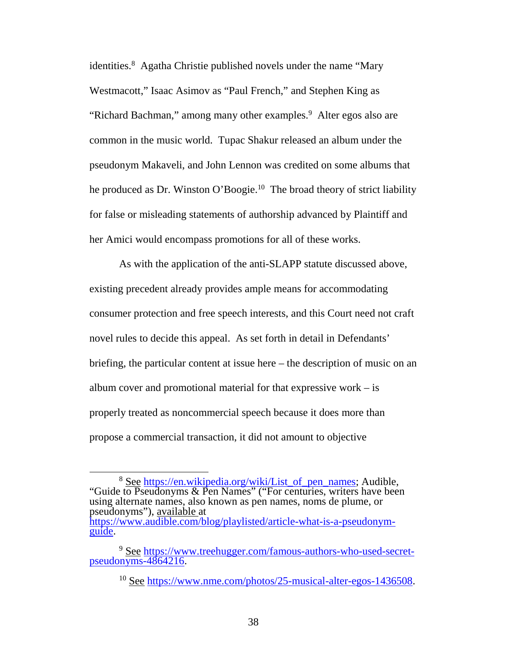identities.<sup>8</sup> Agatha Christie published novels under the name "Mary Westmacott," Isaac Asimov as "Paul French," and Stephen King as<br>"Richard Bachman," among many other examples.<sup>9</sup> Alter egos also "Richard Bachman," among many other examples.<sup>9</sup> Alter egos also are "Richard Bachman," among many other examples.<sup>9</sup> Alter egos also are<br>common in the music world. Tupac Shakur released an album under the pseudonym Makaveli, and John Lennon was credited on some albums that pseudonym Makaveli, and John Lennon was credited on some albums that he produced as Dr. Winston O'Boogie.<sup>10</sup> The broad theory of strict liability for false or misleading statements of authorship advanced by Plaintiff and for false or misleading statements of authorship advanced by Plaintiff and her Amici would encompass promotions for all of these works.

As with the application of the anti-SLAPP statute discussed above, existing precedent already provides ample means for accommodating consumer protection and free speech interests, and this Court need not craft novel rules to decide this appeal. As set forth in detail in Defendants' briefing, the particular content at issue here — the description of music on an album cover and promotional material for that expressive work  $-\text{ is}$ properly treated as noncommercial speech because it does more than properly treated as noncommercial speech because it does more than propose a commercial transaction, it did not amount to objective propose a commercial transaction, it did not amount to objective her Amici would encompass promotions for all of these works.<br>As with the application of the anti-SLAPP statute discussed above,<br>existing precedent already provides ample means for accommodating<br>consumer protection and free novel rules to decide this appeal. As set forth in detail in Defendants' briefing, the particular content at issue here – the description of music on an album cover and promotional material for that expressive work – is

<sup>&</sup>lt;sup>8</sup> See https://en.wikipedia.org/wiki/List of pen names; Audible, "Guide to Pseudonyms & Pen Names" ("For centuries, writers have been using alternate names, also known as pen names, noms de plume, or pseudonyms"), <u>available</u> at https://www.audible.com/blog/playlisted/article-what-is-a-pseudonym-https://www.audible.com/blog/playlisted/article-what-is-a-pseudonym-<sup>8</sup> See https://en.wikipedia.org/wiki/List\_of\_pen\_names; Audible, "Guide to Pseudonyms & Pen Names" ("For centuries, writers have been using alternate names, also known as pen names, noms de plume, or pseudonyms"), <u>avail</u>

guide. guide.

<sup>&</sup>lt;sup>9</sup> See https://www.treehugger.com/famous-authors-who-used-secretpseudonyms-4864216. pseudonyms-4864216.

<sup>&</sup>lt;sup>10</sup> See https://www.nme.com/photos/25-musical-alter-egos-1436508.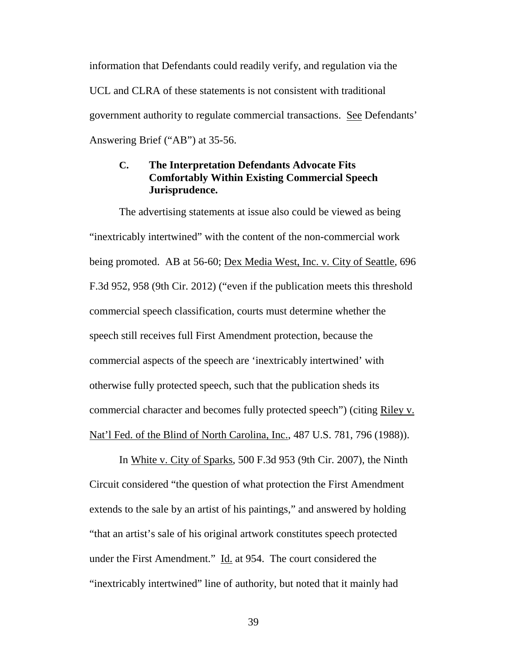information that Defendants could readily verify, and regulation via the UCL and CLRA of these statements is not consistent with traditional government authority to regulate commercial transactions. See Defendants' Answering Brief ("AB") at 35-56. information that Defendants could readily verify, and regulation via the<br>UCL and CLRA of these statements is not consistent with traditional<br>government authority to regulate commercial transactions. <u>See</u> Defendants'<br>Answe

#### C. The Interpretation Defendants Advocate Fits Comfortably Within Existing Commercial Speech Jurisprudence. **C. The Interpretation Defendants Advocate Fits Comfortably Within Existing Commercial Speech Jurisprudence.**

The advertising statements at issue also could be viewed as being "inextricably intertwined" with the content of the non-commercial work being promoted. AB at 56-60; Dex Media West, Inc. v. City of Seattle, 696 F.3d 952, 958 (9th Cir. 2012) ("even if the publication meets this threshold commercial speech classification, courts must determine whether the speech still receives full First Amendment protection, because the commercial aspects of the speech are `inextricably intertwined' with otherwise fully protected speech, such that the publication sheds its commercial character and becomes fully protected speech") (citing Riley v. Nat'l Fed. of the Blind of North Carolina, Inc., 487 U.S. 781, 796 (1988)). The advertising statements at issue also could be viewed as being<br>
"inextricably intertwined" with the content of the non-commercial work<br>
being promoted. AB at 56-60; <u>Dex Media West, Inc. v. City of Seattle</u>, 696<br>
F.3d 9

In White v. City of Sparks, 500 F.3d 953 (9th Cir. 2007), the Ninth In White v. City of Sparks, 500 F.3d 953 (9th Cir. 2007), the Ninth<br>Circuit considered "the question of what protection the First Amendment extends to the sale by an artist of his paintings," and answered by holding "that an artist's sale of his original artwork constitutes speech protected under the First Amendment." Id. at 954. The court considered the "inextricably intertwined" line of authority, but noted that it mainly had extends to the sale by an artist of his paintings," and answered by holding<br>"that an artist's sale of his original artwork constitutes speech protected<br>under the First Amendment." <u>Id.</u> at 954. The court considered the<br>"in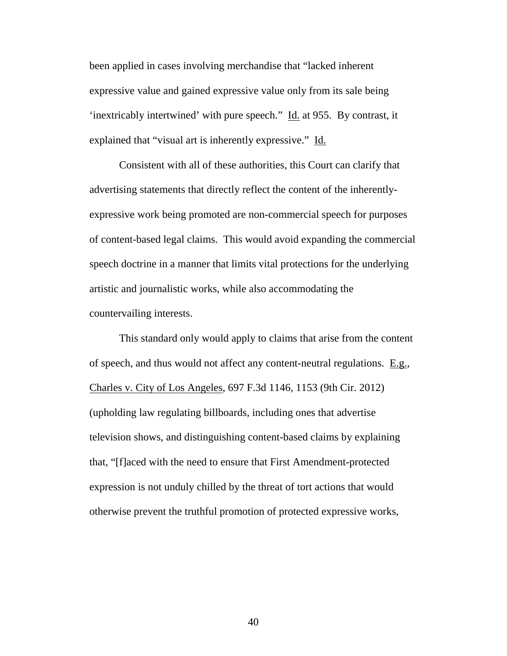been applied in cases involving merchandise that "lacked inherent expressive value and gained expressive value only from its sale being 'inextricably intertwined' with pure speech." Id. at 955. By contrast, it explained that "visual art is inherently expressive." Id. been applied in cases involving merchandise that "lacked inherent<br>expressive value and gained expressive value only from its sale being<br>'inextricably intertwined' with pure speech." <u>Id.</u> at 955. By contrast, it<br>explained

Consistent with all of these authorities, this Court can clarify that Consistent with all of these authorities, this Court can clarify that advertising statements that directly reflect the content of the inherently-advertising statements that directly reflect the content of the inherentlyexpressive work being promoted are non-commercial speech for purposes expressive work being promoted are non-commercial speech for purposes of content-based legal claims. This would avoid expanding the commercial speech doctrine in a manner that limits vital protections for the underlying artistic and journalistic works, while also accommodating the countervailing interests. of content-based legal claims. This would avoid expanding the commercial<br>speech doctrine in a manner that limits vital protections for the underlying<br>artistic and journalistic works, while also accommodating the<br>countervai

This standard only would apply to claims that arise from the content of speech, and thus would not affect any content-neutral regulations. E.g., Charles v. City of Los Angeles, 697 F.3d 1146, 1153 (9th Cir. 2012) (upholding law regulating billboards, including ones that advertise (upholding law regulating billboards, including ones that advertise television shows, and distinguishing content-based claims by explaining that, "[flaced with the need to ensure that First Amendment-protected expression is not unduly chilled by the threat of tort actions that would otherwise prevent the truthful promotion of protected expressive works, television shows, and distinguishing content-based claims by explaining<br>that, "[f]aced with the need to ensure that First Amendment-protected<br>expression is not unduly chilled by the threat of tort actions that would<br>otherw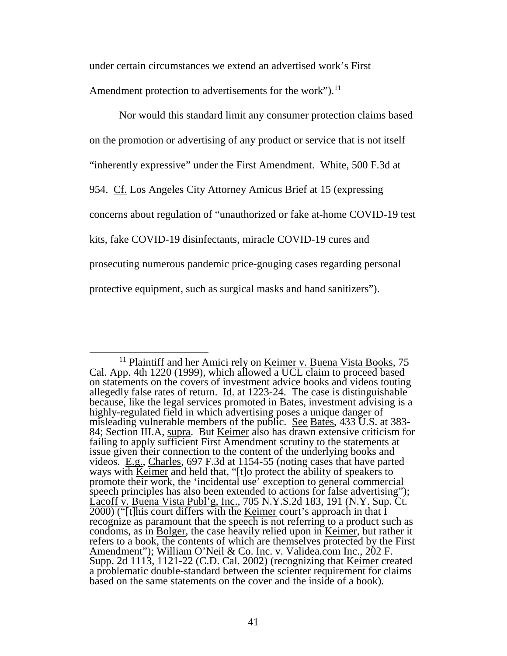under certain circumstances we extend an advertised work's First<br>Amendment protection to advertisements for the work").<sup>11</sup>

Amendment protection to advertisements for the work").<sup>11</sup>

Nor would this standard limit any consumer protection claims based Nor would this standard limit any consumer protection claims based<br>on the promotion or advertising of any product or service that is not <u>itself</u> "inherently expressive" under the First Amendment. White, 500 F.3d at 954. Cf. Los Angeles City Attorney Amicus Brief at 15 (expressing 954. Cf. Los Angeles City Attorney Amicus Brief at 15 (expressing<br>concerns about regulation of "unauthorized or fake at-home COVID-19 test kits, fake COVID-19 disinfectants, miracle COVID-19 cures and kits, fake COVID-19 disinfectants, miracle COVID-19 cures and prosecuting numerous pandemic price-gouging cases regarding personal prosecuting numerous pandemic price-gouging cases regarding personal protective equipment, such as surgical masks and hand sanitizers"). protective equipment, such as surgical masks and hand sanitizers").

 $<sup>11</sup>$  Plaintiff and her Amici rely on <u>Keimer v. Buena Vista Books</u>, 75</sup> Cal. App. 4th 1220 (1999), which allowed a UCL claim to proceed based on statements on the covers of investment advice books and videos touting allegedly false rates of return. Id. at 1223-24. The case is distinguishable <sup>11</sup> Plaintiff and her Amici rely on <u>Keimer v. Buena Vista Books</u>, 75<br>Cal. App. 4th 1220 (1999), which allowed a UCL claim to proceed based<br>on statements on the covers of investment advice books and videos touting<br>allege highly-regulated field in which advertising poses a unique danger of highly-regulated field in which advertising poses a unique danger of misleading vulnerable members of the public. See Bates, 433 U.S. at 383misleading vulnerable members of the public. <u>See Bates</u>, 433 U.S. at 383-<br>84; Section III.A, <u>supra</u>. But <u>Keimer</u> also has drawn extensive criticism for failing to apply sufficient First Amendment scrutiny to the statements at issue given their connection to the content of the underlying books and videos. E.g., Charles, 697 F.3d at 1154-55 (noting cases that have parted failing to apply sufficient First Amendment scrutiny to the statements at issue given their connection to the content of the underlying books and videos. E.g., Charles, 697 F.3d at 1154-55 (noting cases that have parted wa promote their work, the `incidental use' exception to general commercial speech principles has also been extended to actions for false advertising"); Lacoff v. Buena Vista Publ'g, Inc., 705 N.Y.S.2d 183, 191 (N.Y. Sup. Ct. 2000) ("[t]his court differs with the <u>Keimer</u> court's approach in that I recognize as paramount that the speech is not referring to a product such as condoms, as in Bolger, the case heavily relied upon in Keimer, but rather it refers to a book, the contents of which are themselves protected by the First Amendment"); William O'Neil & Co. Inc. v. Validea.com Inc., 202 F. Supp. 2d 1113, 1121-22 (C.D. Cal. 2002) (recognizing that Keimer created a problematic double-standard between the scienter requirement for claims based on the same statements on the cover and the inside of a book). promote their work, the 'incidental use' exception to general commercial<br>speech principles has also been extended to actions for false advertising");<br>Lacoff v. Buena Vista Publ'g, Inc., 705 N.Y.S.2d 183, 191 (N.Y. Sup. Ct.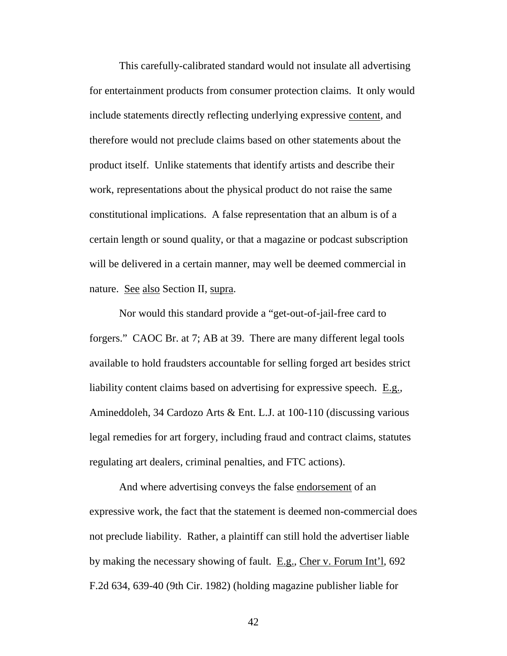This carefully-calibrated standard would not insulate all advertising This carefully-calibrated standard would not insulate all advertising<br>for entertainment products from consumer protection claims. It only would include statements directly reflecting underlying expressive content, and<br>therefore would not preclude claims based on other statements about the therefore would not preclude claims based on other statements about the product itself. Unlike statements that identify artists and describe their product itself. Unlike statements that identify artists and describe their work, representations about the physical product do not raise the same work, representations about the physical product do not raise the same constitutional implications. A false representation that an album is of a constitutional implications. A false representation that an album is of a certain length or sound quality, or that a magazine or podcast subscription<br>will be delivered in a certain manner, may well be deemed commercial in<br>nature. See also Section II, supra. will be delivered in a certain manner, may well be deemed commercial in nature. See also Section II, supra.

Nor would this standard provide a "get-out-of-jail-free card to forgers." CAOC Br. at 7; AB at 39. There are many different legal tools available to hold fraudsters accountable for selling forged art besides strict liability content claims based on advertising for expressive speech. E.g., Amineddoleh, 34 Cardozo Arts & Ent. L.J. at 100-110 (discussing various Amineddoleh, 34 Cardozo Arts & Ent. L.J. at 100-110 (discussing various legal remedies for art forgery, including fraud and contract claims, statutes regulating art dealers, criminal penalties, and FTC actions). Nor would this standard provide a "get-out-of-jail-free card to<br>forgers." CAOC Br. at 7; AB at 39. There are many different legal tools<br>available to hold fraudsters accountable for selling forged art besides strict<br>liabili

And where advertising conveys the false endorsement of an expressive work, the fact that the statement is deemed non-commercial does not preclude liability. Rather, a plaintiff can still hold the advertiser liable by making the necessary showing of fault. E.g., Cher v. Forum Int'l, 692 F.2d 634, 639-40 (9th Cir. 1982) (holding magazine publisher liable for legal remedies for art forgery, including fraud and contract claims, statutes<br>regulating art dealers, criminal penalties, and FTC actions).<br>And where advertising conveys the false <u>endorsement</u> of an<br>expressive work, the f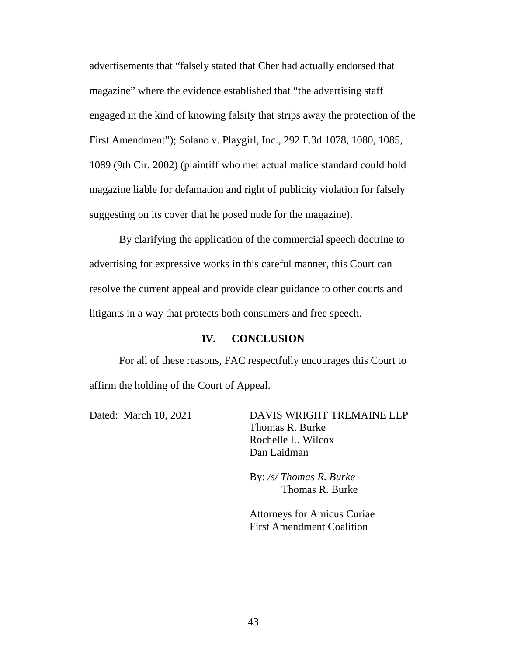advertisements that "falsely stated that Cher had actually endorsed that magazine" where the evidence established that "the advertising staff engaged in the kind of knowing falsity that strips away the protection of the First Amendment"); Solano v. Playgirl, Inc., 292 F.3d 1078, 1080, 1085, 1089 (9th Cir. 2002) (plaintiff who met actual malice standard could hold 1089 (9th Cir. 2002) (plaintiff who met actual malice standard could hold magazine liable for defamation and right of publicity violation for falsely magazine liable for defamation and right of publicity violation for falsely suggesting on its cover that he posed nude for the magazine). suggesting on its cover that he posed nude for the magazine). advertisements that "falsely stated that Cher had actually endorsed that<br>magazine" where the evidence established that "the advertising staff<br>engaged in the kind of knowing falsity that strips away the protection of the<br>Fi

By clarifying the application of the commercial speech doctrine to advertising for expressive works in this careful manner, this Court can resolve the current appeal and provide clear guidance to other courts and litigants in a way that protects both consumers and free speech. litigants in a way that protects both consumers and free speech. By clarifying the application of the commercial speech doctrine to advertising for expressive works in this careful manner, this Court can resolve the current appeal and provide clear guidance to other courts and

#### IV. CONCLUSION **IV. CONCLUSION**

For all of these reasons, FAC respectfully encourages this Court to affirm the holding of the Court of Appeal. affirm the holding of the Court of Appeal.

Dated: March 10, 2021 DAVIS WRIGHT TREMAINE LLP Thomas R. Burke Thomas R. Burke Rochelle L. Wilcox Dan Laidman Rochelle L. Wilcox<br>Dan Laidman<br>By: <u>/s/ Thomas R. Burke</u>

Thomas R. Burke

Attorneys for Amicus Curiae Attorneys for Amicus Curiae First Amendment Coalition First Amendment Coalition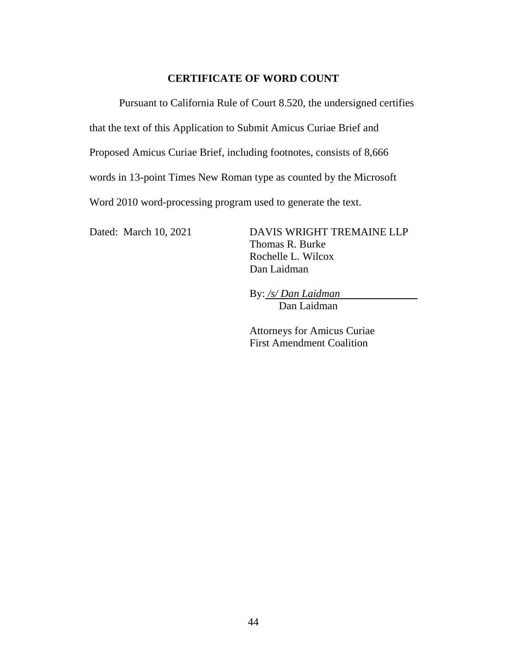#### CERTIFICATE OF WORD COUNT **CERTIFICATE OF WORD COUNT**

Pursuant to California Rule of Court 8.520, the undersigned certifies Pursuant to California Rule of Court 8.520, the undersigned certifies<br>that the text of this Application to Submit Amicus Curiae Brief and<br>Proposed Amicus Curiae Brief, including footnotes, consists of 8,666

that the text of this Application to Submit Amicus Curiae Brief and

words in 13-point Times New Roman type as counted by the Microsoft words in 13-point Times New Roman type as counted by the Microsoft

Word 2010 word-processing program used to generate the text. Word 2010 word-processing program used to generate the text. Dated: March 10, 2021 DAVIS WRIGHT TREMAINE LLP

Dated: March 10, 2021 DAVIS WRIGHT TREMAINE LLP Thomas R. Burke Thomas R. Burke Rochelle L. Wilcox Dan Laidman Rochelle L. Wilcox<br>Dan Laidman<br>By: <u>/s/ Dan Laidman</u>

Dan Laidman

Attorneys for Amicus Curiae First Amendment Coalition Dan Laidman Attorneys for Amicus Curiae First Amendment Coalition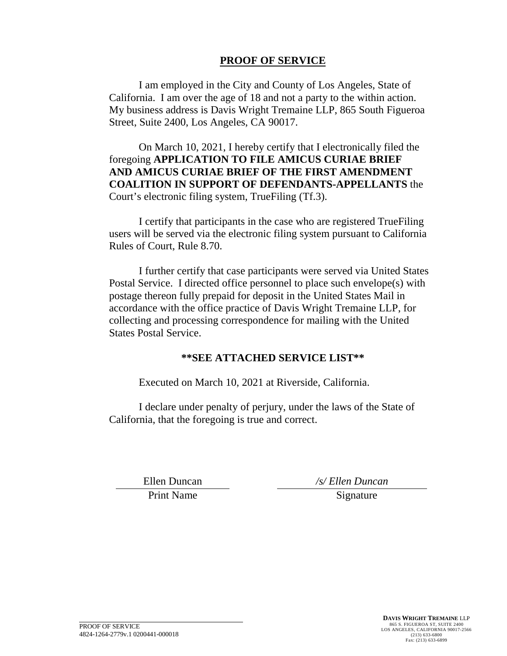#### PROOF OF SERVICE

I am employed in the City and County of Los Angeles, State of California. I am over the age of 18 and not a party to the within action. My business address is Davis Wright Tremaine LLP, 865 South Figueroa Street, Suite 2400, Los Angeles, CA 90017.

On March 10, 2021, I hereby certify that I electronically filed the foregoing APPLICATION TO FILE AMICUS CURIAE BRIEF AND AMICUS CURIAE BRIEF OF THE FIRST AMENDMENT COALITION IN SUPPORT OF DEFENDANTS-APPELLANTS the Court's electronic filing system, TrueFiling (Tf.3). I am employed in the City and County of Los Angeles, State of<br>California. I am over the age of 18 and not a party to the within action.<br>My business address is Davis Wright Tremaine LLP, 865 South Figueroa<br>Street, Suite 240

I certify that participants in the case who are registered TrueFiling users will be served via the electronic filing system pursuant to California Rules of Court, Rule 8.70. Rules of Court, Rule 8.70.

I further certify that case participants were served via United States I further certify that case participants were served via United States Postal Service. I directed office personnel to place such envelope(s) with postage thereon fully prepaid for deposit in the United States Mail in accordance with the office practice of Davis Wright Tremaine LLP, for collecting and processing correspondence for mailing with the United States Postal Service. **PROOF OF SERVICE**<br>
the City and County of Los Angeles, State of<br>
age of 18 and not a party to the within action.<br>
ayis Wright Tremaine LLP, 865 South Figueroa<br>
rayis Wright Tremaine LLP, 865 South Figueroa<br> **PROPER THE FI** Postal Service. I directed office personnel to place such envelope(s) with<br>postage thereon fully prepaid for deposit in the United States Mail in<br>accordance with the office practice of Davis Wright Tremaine LLP, for<br>collec

#### \*\*SEE ATTACHED SERVICE LIST\*\* **\*\*SEE ATTACHED SERVICE LIST\*\***

Executed on March 10, 2021 at Riverside, California.

I declare under penalty of perjury, under the laws of the State of Executed on March 10, 2021 at Riverside, California. I declare under penalty of perjury, under the laws of the State of California, that the foregoing is true and correct. California, that the foregoing is true and correct. Ellen Duncan

Print Name Signature

Ellen Duncan /s/ Ellen Duncan */s/ Ellen Duncan*  Signature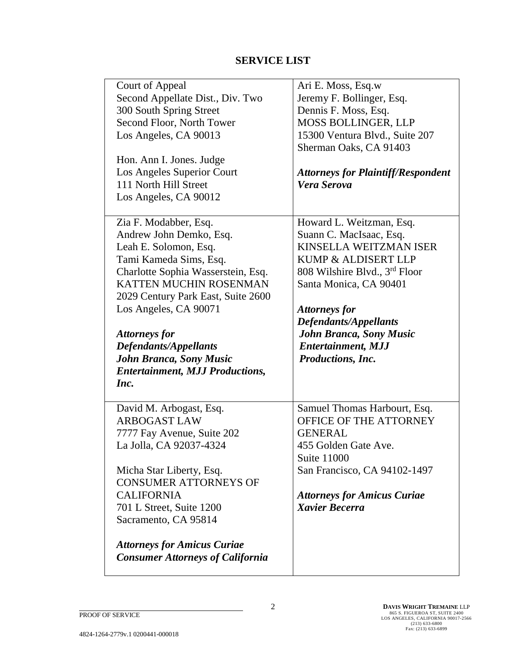#### SERVICE LIST

| <b>SERVICE LIST</b>                                                                                                                                                                                                                                                                                              |
|------------------------------------------------------------------------------------------------------------------------------------------------------------------------------------------------------------------------------------------------------------------------------------------------------------------|
| Ari E. Moss, Esq.w<br>Jeremy F. Bollinger, Esq.<br>Dennis F. Moss, Esq.<br><b>MOSS BOLLINGER, LLP</b><br>15300 Ventura Blvd., Suite 207<br>Sherman Oaks, CA 91403<br><b>Attorneys for Plaintiff/Respondent</b><br>Vera Serova                                                                                    |
| Howard L. Weitzman, Esq.<br>Suann C. MacIsaac, Esq.<br>KINSELLA WEITZMAN ISER<br>KUMP & ALDISERT LLP<br>808 Wilshire Blvd., 3 <sup>rd</sup> Floor<br>Santa Monica, CA 90401<br><b>Attorneys for</b><br><b>Defendants/Appellants</b><br>John Branca, Sony Music<br><b>Entertainment, MJJ</b><br>Productions, Inc. |
| Samuel Thomas Harbourt, Esq.<br>OFFICE OF THE ATTORNEY<br><b>GENERAL</b><br>455 Golden Gate Ave.<br><b>Suite 11000</b><br>San Francisco, CA 94102-1497<br><b>Attorneys for Amicus Curiae</b><br><b>Xavier Becerra</b>                                                                                            |
|                                                                                                                                                                                                                                                                                                                  |